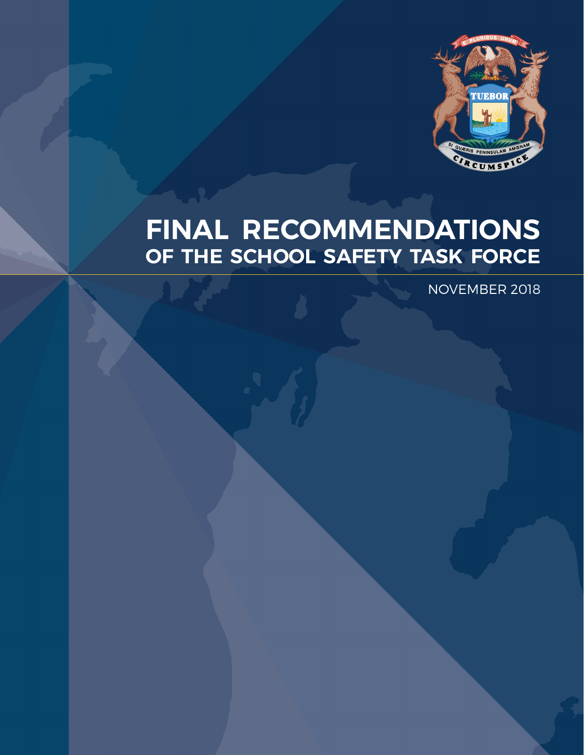

# **FINAL RECOMMENDATIONS OF THE SCHOOL SAFETY TASK FORCE**

NOVEMBER 2018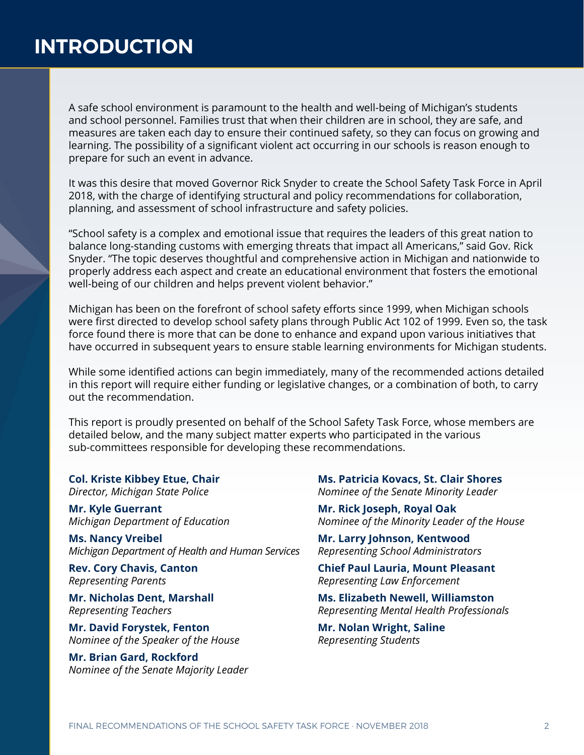A safe school environment is paramount to the health and well-being of Michigan's students and school personnel. Families trust that when their children are in school, they are safe, and measures are taken each day to ensure their continued safety, so they can focus on growing and learning. The possibility of a significant violent act occurring in our schools is reason enough to prepare for such an event in advance.

It was this desire that moved Governor Rick Snyder to create the School Safety Task Force in April 2018, with the charge of identifying structural and policy recommendations for collaboration, planning, and assessment of school infrastructure and safety policies.

"School safety is a complex and emotional issue that requires the leaders of this great nation to balance long-standing customs with emerging threats that impact all Americans," said Gov. Rick Snyder. "The topic deserves thoughtful and comprehensive action in Michigan and nationwide to properly address each aspect and create an educational environment that fosters the emotional well-being of our children and helps prevent violent behavior."

Michigan has been on the forefront of school safety efforts since 1999, when Michigan schools were first directed to develop school safety plans through Public Act 102 of 1999. Even so, the task force found there is more that can be done to enhance and expand upon various initiatives that have occurred in subsequent years to ensure stable learning environments for Michigan students.

While some identified actions can begin immediately, many of the recommended actions detailed in this report will require either funding or legislative changes, or a combination of both, to carry out the recommendation.

This report is proudly presented on behalf of the School Safety Task Force, whose members are detailed below, and the many subject matter experts who participated in the various sub-committees responsible for developing these recommendations.

**Col. Kriste Kibbey Etue, Chair** *Director, Michigan State Police*

**Mr. Kyle Guerrant** *Michigan Department of Education*

**Ms. Nancy Vreibel** *Michigan Department of Health and Human Services*

**Rev. Cory Chavis, Canton** *Representing Parents*

**Mr. Nicholas Dent, Marshall** *Representing Teachers*

**Mr. David Forystek, Fenton** *Nominee of the Speaker of the House*

**Mr. Brian Gard, Rockford** *Nominee of the Senate Majority Leader*

**Ms. Patricia Kovacs, St. Clair Shores** *Nominee of the Senate Minority Leader*

**Mr. Rick Joseph, Royal Oak** *Nominee of the Minority Leader of the House*

**Mr. Larry Johnson, Kentwood** *Representing School Administrators*

**Chief Paul Lauria, Mount Pleasant** *Representing Law Enforcement*

**Ms. Elizabeth Newell, Williamston** *Representing Mental Health Professionals*

**Mr. Nolan Wright, Saline** *Representing Students*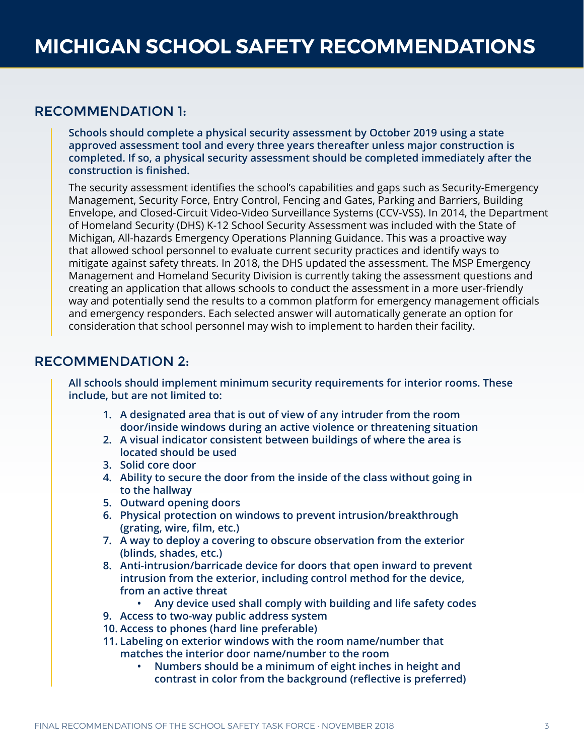## RECOMMENDATION 1:

**Schools should complete a physical security assessment by October 2019 using a state approved assessment tool and every three years thereafter unless major construction is completed. If so, a physical security assessment should be completed immediately after the construction is finished.** 

The security assessment identifies the school's capabilities and gaps such as Security-Emergency Management, Security Force, Entry Control, Fencing and Gates, Parking and Barriers, Building Envelope, and Closed-Circuit Video-Video Surveillance Systems (CCV-VSS). In 2014, the Department of Homeland Security (DHS) K-12 School Security Assessment was included with the State of Michigan, All-hazards Emergency Operations Planning Guidance. This was a proactive way that allowed school personnel to evaluate current security practices and identify ways to mitigate against safety threats. In 2018, the DHS updated the assessment. The MSP Emergency Management and Homeland Security Division is currently taking the assessment questions and creating an application that allows schools to conduct the assessment in a more user-friendly way and potentially send the results to a common platform for emergency management officials and emergency responders. Each selected answer will automatically generate an option for consideration that school personnel may wish to implement to harden their facility.

## RECOMMENDATION 2:

**All schools should implement minimum security requirements for interior rooms. These include, but are not limited to:**

- **1. A designated area that is out of view of any intruder from the room door/inside windows during an active violence or threatening situation**
- **2. A visual indicator consistent between buildings of where the area is located should be used**
- **3. Solid core door**
- **4. Ability to secure the door from the inside of the class without going in to the hallway**
- **5. Outward opening doors**
- **6. Physical protection on windows to prevent intrusion/breakthrough (grating, wire, film, etc.)**
- **7. A way to deploy a covering to obscure observation from the exterior (blinds, shades, etc.)**
- **8. Anti-intrusion/barricade device for doors that open inward to prevent intrusion from the exterior, including control method for the device, from an active threat**
	- **• Any device used shall comply with building and life safety codes**
- **9. Access to two-way public address system**
- **10. Access to phones (hard line preferable)**
- **11. Labeling on exterior windows with the room name/number that matches the interior door name/number to the room**
	- **• Numbers should be a minimum of eight inches in height and contrast in color from the background (reflective is preferred)**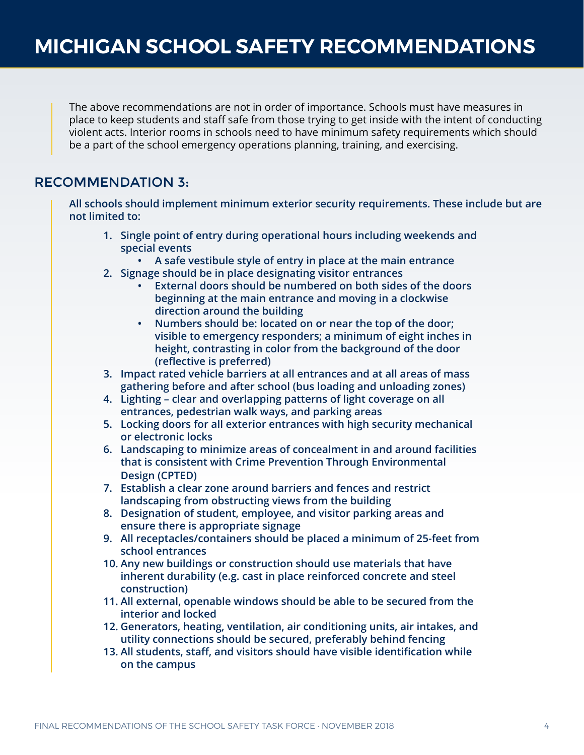The above recommendations are not in order of importance. Schools must have measures in place to keep students and staff safe from those trying to get inside with the intent of conducting violent acts. Interior rooms in schools need to have minimum safety requirements which should be a part of the school emergency operations planning, training, and exercising.

# RECOMMENDATION 3:

**All schools should implement minimum exterior security requirements. These include but are not limited to:** 

- **1. Single point of entry during operational hours including weekends and special events**
	- **• A safe vestibule style of entry in place at the main entrance**
- **2. Signage should be in place designating visitor entrances** 
	- **• External doors should be numbered on both sides of the doors beginning at the main entrance and moving in a clockwise direction around the building**
	- **• Numbers should be: located on or near the top of the door; visible to emergency responders; a minimum of eight inches in height, contrasting in color from the background of the door (reflective is preferred)**
- **3. Impact rated vehicle barriers at all entrances and at all areas of mass gathering before and after school (bus loading and unloading zones)**
- **4. Lighting clear and overlapping patterns of light coverage on all entrances, pedestrian walk ways, and parking areas**
- **5. Locking doors for all exterior entrances with high security mechanical or electronic locks**
- **6. Landscaping to minimize areas of concealment in and around facilities that is consistent with Crime Prevention Through Environmental Design (CPTED)**
- **7. Establish a clear zone around barriers and fences and restrict landscaping from obstructing views from the building**
- **8. Designation of student, employee, and visitor parking areas and ensure there is appropriate signage**
- **9. All receptacles/containers should be placed a minimum of 25-feet from school entrances**
- **10. Any new buildings or construction should use materials that have inherent durability (e.g. cast in place reinforced concrete and steel construction)**
- **11. All external, openable windows should be able to be secured from the interior and locked**
- **12. Generators, heating, ventilation, air conditioning units, air intakes, and utility connections should be secured, preferably behind fencing**
- **13. All students, staff, and visitors should have visible identification while on the campus**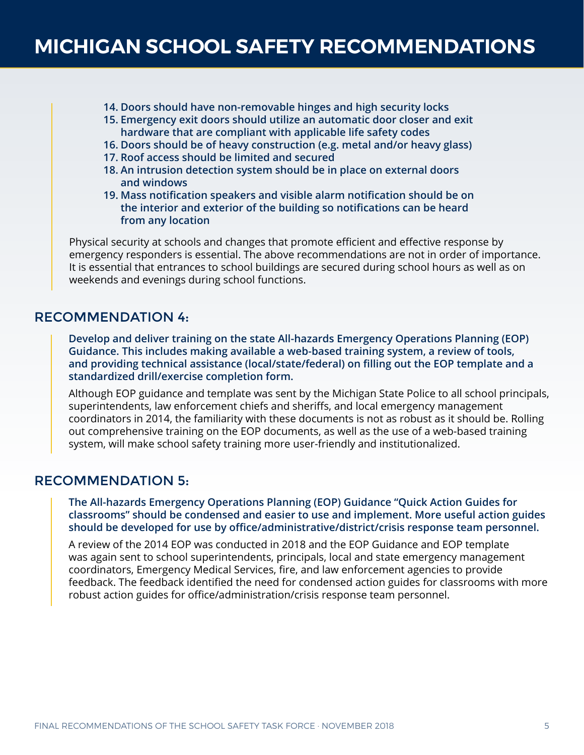- **14. Doors should have non-removable hinges and high security locks**
- **15. Emergency exit doors should utilize an automatic door closer and exit hardware that are compliant with applicable life safety codes**
- **16. Doors should be of heavy construction (e.g. metal and/or heavy glass)**
- **17. Roof access should be limited and secured**
- **18. An intrusion detection system should be in place on external doors and windows**
- **19. Mass notification speakers and visible alarm notification should be on the interior and exterior of the building so notifications can be heard from any location**

Physical security at schools and changes that promote efficient and effective response by emergency responders is essential. The above recommendations are not in order of importance. It is essential that entrances to school buildings are secured during school hours as well as on weekends and evenings during school functions.

### RECOMMENDATION 4:

**Develop and deliver training on the state All-hazards Emergency Operations Planning (EOP) Guidance. This includes making available a web-based training system, a review of tools, and providing technical assistance (local/state/federal) on filling out the EOP template and a standardized drill/exercise completion form.** 

Although EOP guidance and template was sent by the Michigan State Police to all school principals, superintendents, law enforcement chiefs and sheriffs, and local emergency management coordinators in 2014, the familiarity with these documents is not as robust as it should be. Rolling out comprehensive training on the EOP documents, as well as the use of a web-based training system, will make school safety training more user-friendly and institutionalized.

# RECOMMENDATION 5:

**The All-hazards Emergency Operations Planning (EOP) Guidance "Quick Action Guides for classrooms" should be condensed and easier to use and implement. More useful action guides should be developed for use by office/administrative/district/crisis response team personnel.**

A review of the 2014 EOP was conducted in 2018 and the EOP Guidance and EOP template was again sent to school superintendents, principals, local and state emergency management coordinators, Emergency Medical Services, fire, and law enforcement agencies to provide feedback. The feedback identified the need for condensed action guides for classrooms with more robust action guides for office/administration/crisis response team personnel.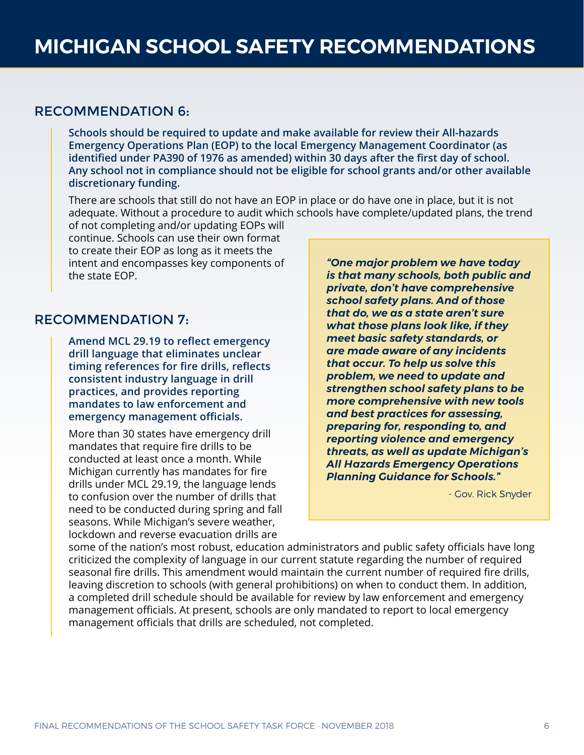## RECOMMENDATION 6:

**Schools should be required to update and make available for review their All-hazards Emergency Operations Plan (EOP) to the local Emergency Management Coordinator (as identified under PA390 of 1976 as amended) within 30 days after the first day of school. Any school not in compliance should not be eligible for school grants and/or other available discretionary funding.**

There are schools that still do not have an EOP in place or do have one in place, but it is not adequate. Without a procedure to audit which schools have complete/updated plans, the trend

of not completing and/or updating EOPs will continue. Schools can use their own format to create their EOP as long as it meets the intent and encompasses key components of the state EOP.

## RECOMMENDATION 7:

**Amend MCL 29.19 to reflect emergency drill language that eliminates unclear timing references for fire drills, reflects consistent industry language in drill practices, and provides reporting mandates to law enforcement and emergency management officials.** 

More than 30 states have emergency drill mandates that require fire drills to be conducted at least once a month. While Michigan currently has mandates for fire drills under MCL 29.19, the language lends to confusion over the number of drills that need to be conducted during spring and fall seasons. While Michigan's severe weather, lockdown and reverse evacuation drills are

*"One major problem we have today is that many schools, both public and private, don't have comprehensive school safety plans. And of those that do, we as a state aren't sure what those plans look like, if they meet basic safety standards, or are made aware of any incidents that occur. To help us solve this problem, we need to update and strengthen school safety plans to be more comprehensive with new tools and best practices for assessing, preparing for, responding to, and reporting violence and emergency threats, as well as update Michigan's All Hazards Emergency Operations Planning Guidance for Schools."*

- Gov. Rick Snyder

some of the nation's most robust, education administrators and public safety officials have long criticized the complexity of language in our current statute regarding the number of required seasonal fire drills. This amendment would maintain the current number of required fire drills, leaving discretion to schools (with general prohibitions) on when to conduct them. In addition, a completed drill schedule should be available for review by law enforcement and emergency management officials. At present, schools are only mandated to report to local emergency management officials that drills are scheduled, not completed.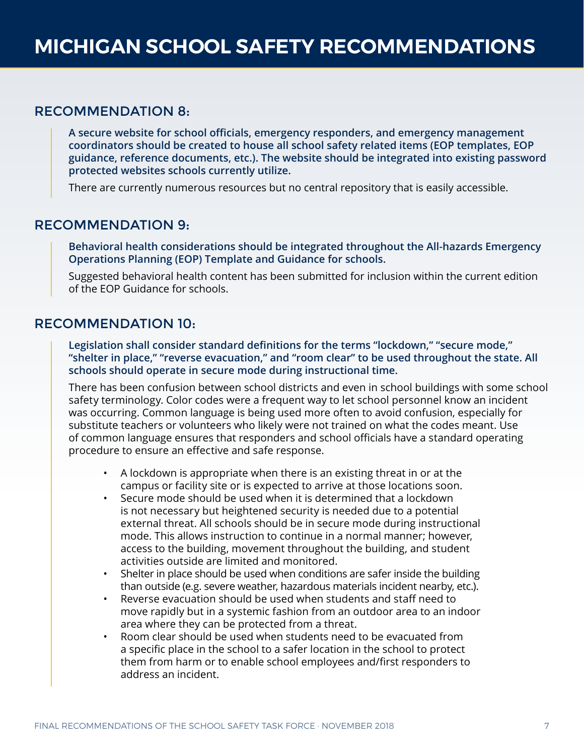### RECOMMENDATION 8:

**A secure website for school officials, emergency responders, and emergency management coordinators should be created to house all school safety related items (EOP templates, EOP guidance, reference documents, etc.). The website should be integrated into existing password protected websites schools currently utilize.**

There are currently numerous resources but no central repository that is easily accessible.

### RECOMMENDATION 9:

**Behavioral health considerations should be integrated throughout the All-hazards Emergency Operations Planning (EOP) Template and Guidance for schools.** 

Suggested behavioral health content has been submitted for inclusion within the current edition of the EOP Guidance for schools.

## RECOMMENDATION 10:

**Legislation shall consider standard definitions for the terms "lockdown," "secure mode," "shelter in place," "reverse evacuation," and "room clear" to be used throughout the state. All schools should operate in secure mode during instructional time.**

There has been confusion between school districts and even in school buildings with some school safety terminology. Color codes were a frequent way to let school personnel know an incident was occurring. Common language is being used more often to avoid confusion, especially for substitute teachers or volunteers who likely were not trained on what the codes meant. Use of common language ensures that responders and school officials have a standard operating procedure to ensure an effective and safe response.

- A lockdown is appropriate when there is an existing threat in or at the campus or facility site or is expected to arrive at those locations soon.
- Secure mode should be used when it is determined that a lockdown is not necessary but heightened security is needed due to a potential external threat. All schools should be in secure mode during instructional mode. This allows instruction to continue in a normal manner; however, access to the building, movement throughout the building, and student activities outside are limited and monitored.
- Shelter in place should be used when conditions are safer inside the building than outside (e.g. severe weather, hazardous materials incident nearby, etc.).
- Reverse evacuation should be used when students and staff need to move rapidly but in a systemic fashion from an outdoor area to an indoor area where they can be protected from a threat.
- Room clear should be used when students need to be evacuated from a specific place in the school to a safer location in the school to protect them from harm or to enable school employees and/first responders to address an incident.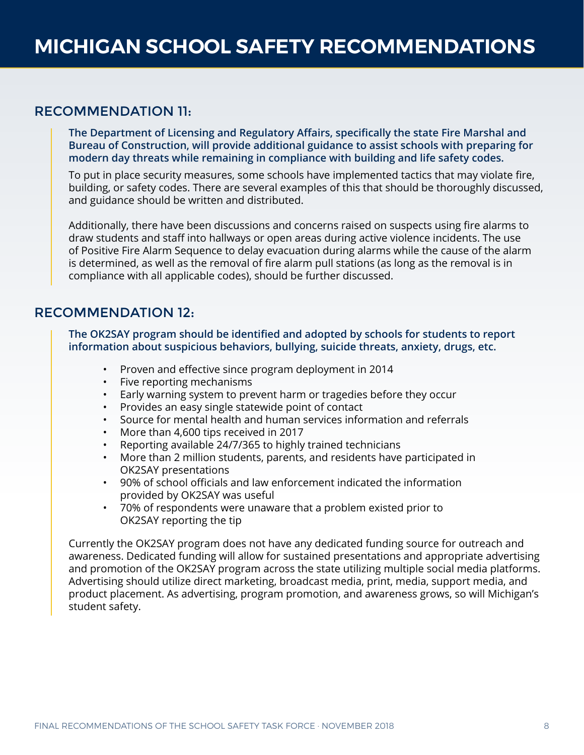# RECOMMENDATION 11:

**The Department of Licensing and Regulatory Affairs, specifically the state Fire Marshal and Bureau of Construction, will provide additional guidance to assist schools with preparing for modern day threats while remaining in compliance with building and life safety codes.**

To put in place security measures, some schools have implemented tactics that may violate fire, building, or safety codes. There are several examples of this that should be thoroughly discussed, and guidance should be written and distributed.

Additionally, there have been discussions and concerns raised on suspects using fire alarms to draw students and staff into hallways or open areas during active violence incidents. The use of Positive Fire Alarm Sequence to delay evacuation during alarms while the cause of the alarm is determined, as well as the removal of fire alarm pull stations (as long as the removal is in compliance with all applicable codes), should be further discussed.

# RECOMMENDATION 12:

**The OK2SAY program should be identified and adopted by schools for students to report information about suspicious behaviors, bullying, suicide threats, anxiety, drugs, etc.** 

- Proven and effective since program deployment in 2014
- Five reporting mechanisms
- Early warning system to prevent harm or tragedies before they occur
- Provides an easy single statewide point of contact
- Source for mental health and human services information and referrals
- More than 4,600 tips received in 2017
- Reporting available 24/7/365 to highly trained technicians
- More than 2 million students, parents, and residents have participated in OK2SAY presentations
- 90% of school officials and law enforcement indicated the information provided by OK2SAY was useful
- 70% of respondents were unaware that a problem existed prior to OK2SAY reporting the tip

Currently the OK2SAY program does not have any dedicated funding source for outreach and awareness. Dedicated funding will allow for sustained presentations and appropriate advertising and promotion of the OK2SAY program across the state utilizing multiple social media platforms. Advertising should utilize direct marketing, broadcast media, print, media, support media, and product placement. As advertising, program promotion, and awareness grows, so will Michigan's student safety.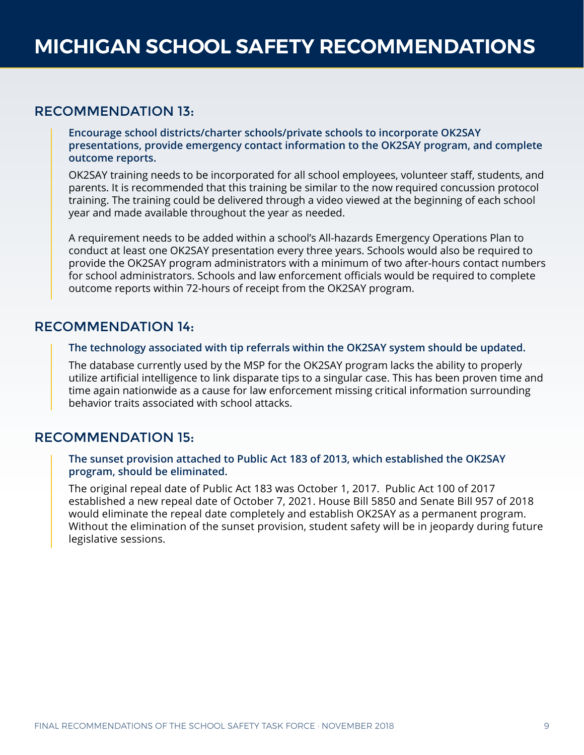## RECOMMENDATION 13:

**Encourage school districts/charter schools/private schools to incorporate OK2SAY presentations, provide emergency contact information to the OK2SAY program, and complete outcome reports.** 

OK2SAY training needs to be incorporated for all school employees, volunteer staff, students, and parents. It is recommended that this training be similar to the now required concussion protocol training. The training could be delivered through a video viewed at the beginning of each school year and made available throughout the year as needed.

A requirement needs to be added within a school's All-hazards Emergency Operations Plan to conduct at least one OK2SAY presentation every three years. Schools would also be required to provide the OK2SAY program administrators with a minimum of two after-hours contact numbers for school administrators. Schools and law enforcement officials would be required to complete outcome reports within 72-hours of receipt from the OK2SAY program.

# RECOMMENDATION 14:

**The technology associated with tip referrals within the OK2SAY system should be updated.** 

The database currently used by the MSP for the OK2SAY program lacks the ability to properly utilize artificial intelligence to link disparate tips to a singular case. This has been proven time and time again nationwide as a cause for law enforcement missing critical information surrounding behavior traits associated with school attacks.

# RECOMMENDATION 15:

**The sunset provision attached to Public Act 183 of 2013, which established the OK2SAY program, should be eliminated.**

The original repeal date of Public Act 183 was October 1, 2017. Public Act 100 of 2017 established a new repeal date of October 7, 2021. House Bill 5850 and Senate Bill 957 of 2018 would eliminate the repeal date completely and establish OK2SAY as a permanent program. Without the elimination of the sunset provision, student safety will be in jeopardy during future legislative sessions.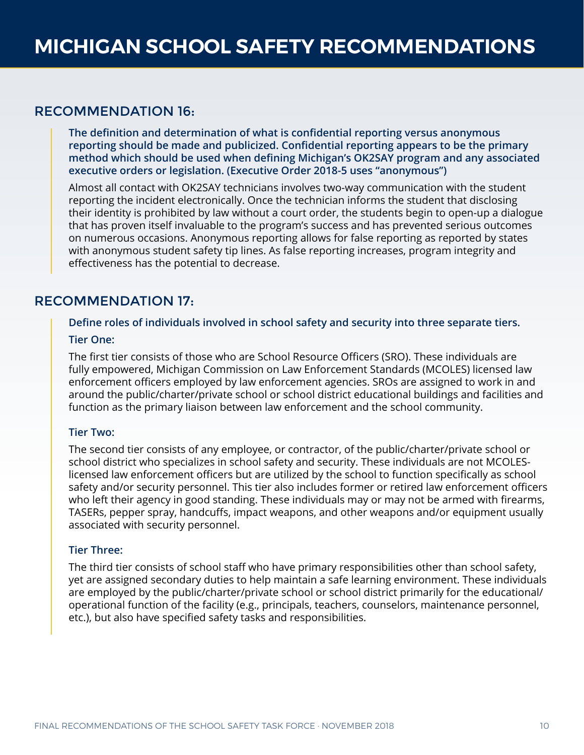### RECOMMENDATION 16:

**The definition and determination of what is confidential reporting versus anonymous reporting should be made and publicized. Confidential reporting appears to be the primary method which should be used when defining Michigan's OK2SAY program and any associated executive orders or legislation. (Executive Order 2018-5 uses "anonymous")**

Almost all contact with OK2SAY technicians involves two-way communication with the student reporting the incident electronically. Once the technician informs the student that disclosing their identity is prohibited by law without a court order, the students begin to open-up a dialogue that has proven itself invaluable to the program's success and has prevented serious outcomes on numerous occasions. Anonymous reporting allows for false reporting as reported by states with anonymous student safety tip lines. As false reporting increases, program integrity and effectiveness has the potential to decrease.

# RECOMMENDATION 17:

#### **Define roles of individuals involved in school safety and security into three separate tiers.**

#### **Tier One:**

The first tier consists of those who are School Resource Officers (SRO). These individuals are fully empowered, Michigan Commission on Law Enforcement Standards (MCOLES) licensed law enforcement officers employed by law enforcement agencies. SROs are assigned to work in and around the public/charter/private school or school district educational buildings and facilities and function as the primary liaison between law enforcement and the school community.

#### **Tier Two:**

The second tier consists of any employee, or contractor, of the public/charter/private school or school district who specializes in school safety and security. These individuals are not MCOLESlicensed law enforcement officers but are utilized by the school to function specifically as school safety and/or security personnel. This tier also includes former or retired law enforcement officers who left their agency in good standing. These individuals may or may not be armed with firearms, TASERs, pepper spray, handcuffs, impact weapons, and other weapons and/or equipment usually associated with security personnel.

#### **Tier Three:**

The third tier consists of school staff who have primary responsibilities other than school safety, yet are assigned secondary duties to help maintain a safe learning environment. These individuals are employed by the public/charter/private school or school district primarily for the educational/ operational function of the facility (e.g., principals, teachers, counselors, maintenance personnel, etc.), but also have specified safety tasks and responsibilities.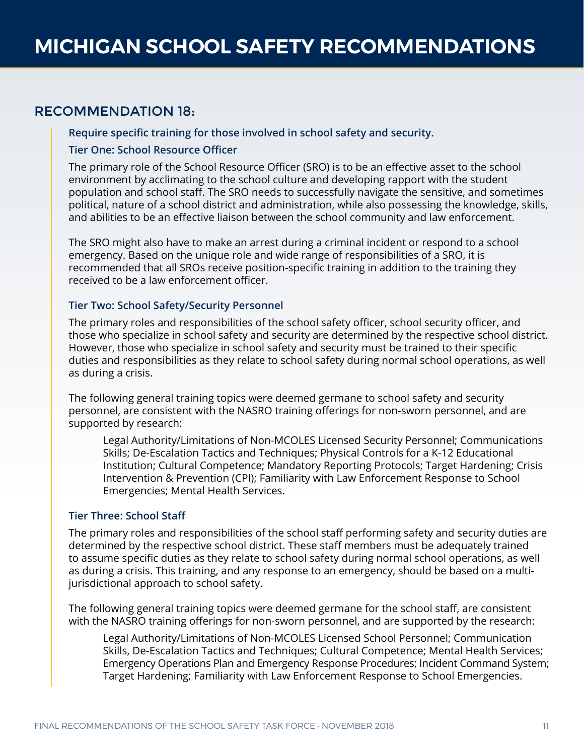# RECOMMENDATION 18:

#### **Require specific training for those involved in school safety and security.**

#### **Tier One: School Resource Officer**

The primary role of the School Resource Officer (SRO) is to be an effective asset to the school environment by acclimating to the school culture and developing rapport with the student population and school staff. The SRO needs to successfully navigate the sensitive, and sometimes political, nature of a school district and administration, while also possessing the knowledge, skills, and abilities to be an effective liaison between the school community and law enforcement.

The SRO might also have to make an arrest during a criminal incident or respond to a school emergency. Based on the unique role and wide range of responsibilities of a SRO, it is recommended that all SROs receive position-specific training in addition to the training they received to be a law enforcement officer.

#### **Tier Two: School Safety/Security Personnel**

The primary roles and responsibilities of the school safety officer, school security officer, and those who specialize in school safety and security are determined by the respective school district. However, those who specialize in school safety and security must be trained to their specific duties and responsibilities as they relate to school safety during normal school operations, as well as during a crisis.

The following general training topics were deemed germane to school safety and security personnel, are consistent with the NASRO training offerings for non-sworn personnel, and are supported by research:

Legal Authority/Limitations of Non-MCOLES Licensed Security Personnel; Communications Skills; De-Escalation Tactics and Techniques; Physical Controls for a K-12 Educational Institution; Cultural Competence; Mandatory Reporting Protocols; Target Hardening; Crisis Intervention & Prevention (CPI); Familiarity with Law Enforcement Response to School Emergencies; Mental Health Services.

#### **Tier Three: School Staff**

The primary roles and responsibilities of the school staff performing safety and security duties are determined by the respective school district. These staff members must be adequately trained to assume specific duties as they relate to school safety during normal school operations, as well as during a crisis. This training, and any response to an emergency, should be based on a multijurisdictional approach to school safety.

The following general training topics were deemed germane for the school staff, are consistent with the NASRO training offerings for non-sworn personnel, and are supported by the research:

Legal Authority/Limitations of Non-MCOLES Licensed School Personnel; Communication Skills, De-Escalation Tactics and Techniques; Cultural Competence; Mental Health Services; Emergency Operations Plan and Emergency Response Procedures; Incident Command System; Target Hardening; Familiarity with Law Enforcement Response to School Emergencies.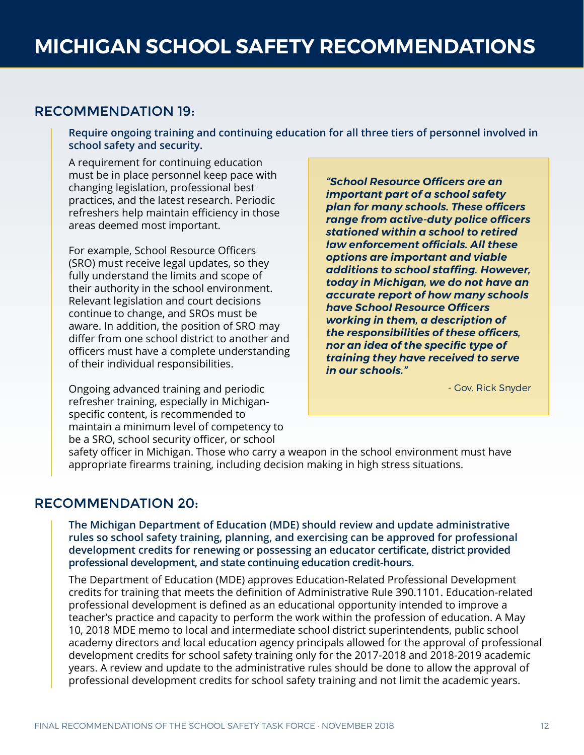## RECOMMENDATION 19:

**Require ongoing training and continuing education for all three tiers of personnel involved in school safety and security.**

A requirement for continuing education must be in place personnel keep pace with changing legislation, professional best practices, and the latest research. Periodic refreshers help maintain efficiency in those areas deemed most important.

For example, School Resource Officers (SRO) must receive legal updates, so they fully understand the limits and scope of their authority in the school environment. Relevant legislation and court decisions continue to change, and SROs must be aware. In addition, the position of SRO may differ from one school district to another and officers must have a complete understanding of their individual responsibilities.

Ongoing advanced training and periodic refresher training, especially in Michiganspecific content, is recommended to maintain a minimum level of competency to be a SRO, school security officer, or school

*"School Resource Officers are an important part of a school safety plan for many schools. These officers range from active-duty police officers stationed within a school to retired law enforcement officials. All these options are important and viable additions to school staffing. However, today in Michigan, we do not have an accurate report of how many schools have School Resource Officers working in them, a description of the responsibilities of these officers, nor an idea of the specific type of training they have received to serve in our schools."*

- Gov. Rick Snyder

safety officer in Michigan. Those who carry a weapon in the school environment must have appropriate firearms training, including decision making in high stress situations.

## RECOMMENDATION 20:

**The Michigan Department of Education (MDE) should review and update administrative rules so school safety training, planning, and exercising can be approved for professional development credits for renewing or possessing an educator certificate, district provided professional development, and state continuing education credit-hours.**

The Department of Education (MDE) approves Education-Related Professional Development credits for training that meets the definition of Administrative Rule 390.1101. Education-related professional development is defined as an educational opportunity intended to improve a teacher's practice and capacity to perform the work within the profession of education. A May 10, 2018 MDE memo to local and intermediate school district superintendents, public school academy directors and local education agency principals allowed for the approval of professional development credits for school safety training only for the 2017-2018 and 2018-2019 academic years. A review and update to the administrative rules should be done to allow the approval of professional development credits for school safety training and not limit the academic years.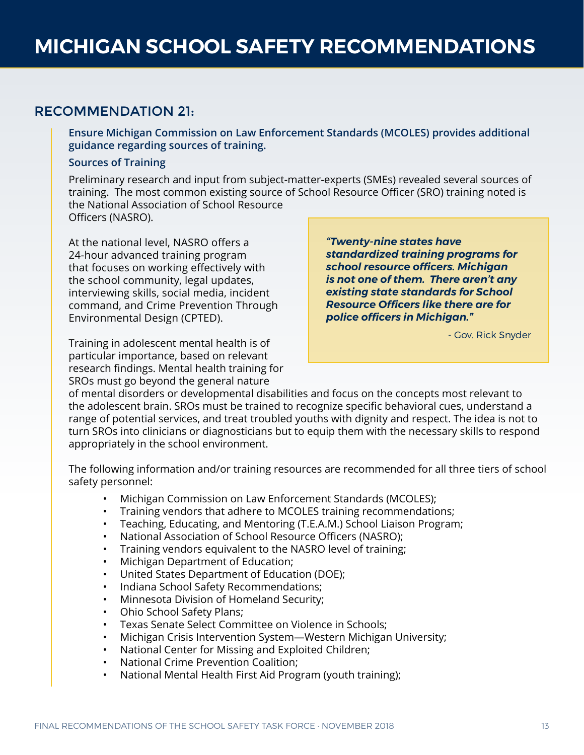# RECOMMENDATION 21:

**Ensure Michigan Commission on Law Enforcement Standards (MCOLES) provides additional guidance regarding sources of training.**

#### **Sources of Training**

Preliminary research and input from subject-matter-experts (SMEs) revealed several sources of training. The most common existing source of School Resource Officer (SRO) training noted is the National Association of School Resource Officers (NASRO).

At the national level, NASRO offers a 24-hour advanced training program that focuses on working effectively with the school community, legal updates, interviewing skills, social media, incident command, and Crime Prevention Through Environmental Design (CPTED).

Training in adolescent mental health is of particular importance, based on relevant research findings. Mental health training for SROs must go beyond the general nature

*"Twenty-nine states have standardized training programs for school resource officers. Michigan is not one of them. There aren't any existing state standards for School Resource Officers like there are for police officers in Michigan."*

- Gov. Rick Snyder

of mental disorders or developmental disabilities and focus on the concepts most relevant to the adolescent brain. SROs must be trained to recognize specific behavioral cues, understand a range of potential services, and treat troubled youths with dignity and respect. The idea is not to turn SROs into clinicians or diagnosticians but to equip them with the necessary skills to respond appropriately in the school environment.

The following information and/or training resources are recommended for all three tiers of school safety personnel:

- Michigan Commission on Law Enforcement Standards (MCOLES);
- Training vendors that adhere to MCOLES training recommendations;
- Teaching, Educating, and Mentoring (T.E.A.M.) School Liaison Program;
- National Association of School Resource Officers (NASRO);
- Training vendors equivalent to the NASRO level of training;
- Michigan Department of Education;
- United States Department of Education (DOE);
- Indiana School Safety Recommendations;
- Minnesota Division of Homeland Security;
- Ohio School Safety Plans;
- Texas Senate Select Committee on Violence in Schools;
- Michigan Crisis Intervention System—Western Michigan University;
- National Center for Missing and Exploited Children;
- National Crime Prevention Coalition;
- National Mental Health First Aid Program (youth training);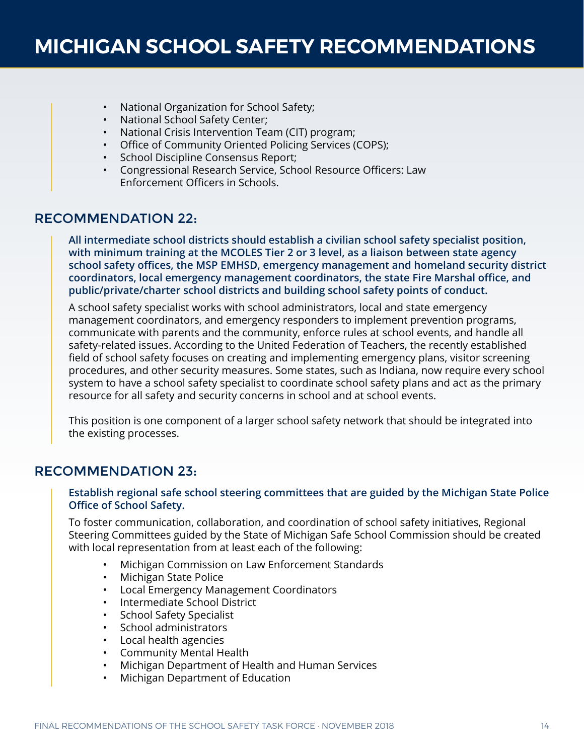- National Organization for School Safety;
- National School Safety Center;
- National Crisis Intervention Team (CIT) program;
- Office of Community Oriented Policing Services (COPS);
- School Discipline Consensus Report;
- Congressional Research Service, School Resource Officers: Law Enforcement Officers in Schools.

## RECOMMENDATION 22:

**All intermediate school districts should establish a civilian school safety specialist position, with minimum training at the MCOLES Tier 2 or 3 level, as a liaison between state agency school safety offices, the MSP EMHSD, emergency management and homeland security district coordinators, local emergency management coordinators, the state Fire Marshal office, and public/private/charter school districts and building school safety points of conduct.** 

A school safety specialist works with school administrators, local and state emergency management coordinators, and emergency responders to implement prevention programs, communicate with parents and the community, enforce rules at school events, and handle all safety-related issues. According to the United Federation of Teachers, the recently established field of school safety focuses on creating and implementing emergency plans, visitor screening procedures, and other security measures. Some states, such as Indiana, now require every school system to have a school safety specialist to coordinate school safety plans and act as the primary resource for all safety and security concerns in school and at school events.

This position is one component of a larger school safety network that should be integrated into the existing processes.

### RECOMMENDATION 23:

#### **Establish regional safe school steering committees that are guided by the Michigan State Police Office of School Safety.**

To foster communication, collaboration, and coordination of school safety initiatives, Regional Steering Committees guided by the State of Michigan Safe School Commission should be created with local representation from at least each of the following:

- Michigan Commission on Law Enforcement Standards
- Michigan State Police
- Local Emergency Management Coordinators
- Intermediate School District
- School Safety Specialist
- School administrators
- Local health agencies
- Community Mental Health
- Michigan Department of Health and Human Services
- Michigan Department of Education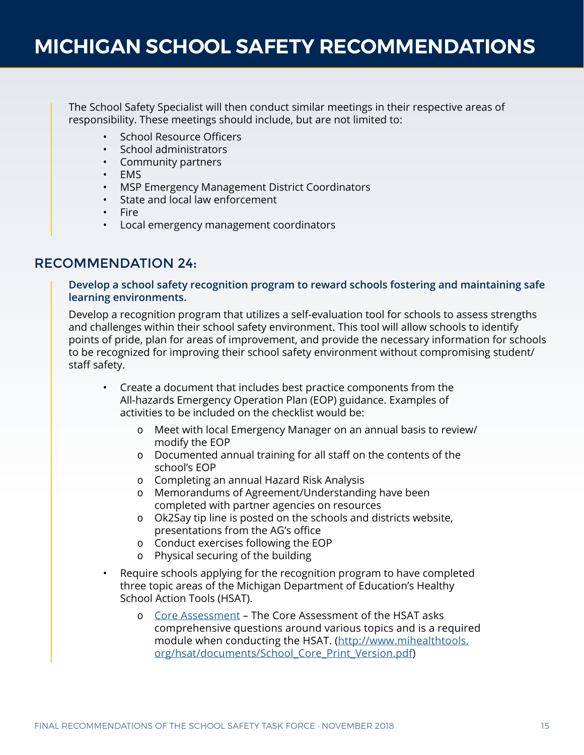The School Safety Specialist will then conduct similar meetings in their respective areas of responsibility. These meetings should include, but are not limited to:

- School Resource Officers
- School administrators
- Community partners
- EMS
- MSP Emergency Management District Coordinators
- State and local law enforcement
- Fire
- Local emergency management coordinators

### RECOMMENDATION 24:

**Develop a school safety recognition program to reward schools fostering and maintaining safe learning environments.**

Develop a recognition program that utilizes a self-evaluation tool for schools to assess strengths and challenges within their school safety environment. This tool will allow schools to identify points of pride, plan for areas of improvement, and provide the necessary information for schools to be recognized for improving their school safety environment without compromising student/ staff safety.

- Create a document that includes best practice components from the All-hazards Emergency Operation Plan (EOP) guidance. Examples of activities to be included on the checklist would be:
	- Meet with local Emergency Manager on an annual basis to review/ modify the EOP
	- Documented annual training for all staff on the contents of the school's EOP
	- Completing an annual Hazard Risk Analysis
	- Memorandums of Agreement/Understanding have been completed with partner agencies on resources
	- Ok2Say tip line is posted on the schools and districts website, presentations from the AG's office
	- Conduct exercises following the EOP
	- Physical securing of the building
- Require schools applying for the recognition program to have completed three topic areas of the Michigan Department of Education's Healthy School Action Tools (HSAT).
	- [Core Assessment](http://www.mihealthtools.org/hsat/documents/School_Core_Print_Version.pdf)  The Core Assessment of the HSAT asks comprehensive questions around various topics and is a required module when conducting the HSAT. ([http://www.mihealthtools.](http://www.mihealthtools.org/hsat/documents/School_Core_Print_Version.pdf) [org/hsat/documents/School\\_Core\\_Print\\_Version.pdf\)](http://www.mihealthtools.org/hsat/documents/School_Core_Print_Version.pdf)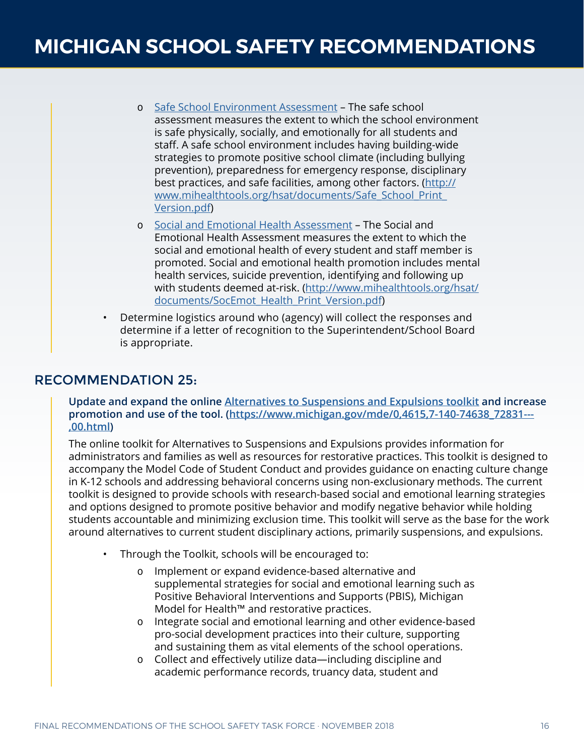- [Safe School Environment Assessment](http://www.mihealthtools.org/hsat/documents/Safe_School_Print_Version.pdf) The safe school assessment measures the extent to which the school environment is safe physically, socially, and emotionally for all students and staff. A safe school environment includes having building-wide strategies to promote positive school climate (including bullying prevention), preparedness for emergency response, disciplinary best practices, and safe facilities, among other factors. ([http://](http://www.mihealthtools.org/hsat/documents/Safe_School_Print_Version.pdf) [www.mihealthtools.org/hsat/documents/Safe\\_School\\_Print\\_](http://www.mihealthtools.org/hsat/documents/Safe_School_Print_Version.pdf) [Version.pdf\)](http://www.mihealthtools.org/hsat/documents/Safe_School_Print_Version.pdf)
- o [Social and Emotional Health Assessment](http://www.mihealthtools.org/hsat/documents/SocEmot_Health_Print_Version.pdf) The Social and Emotional Health Assessment measures the extent to which the social and emotional health of every student and staff member is promoted. Social and emotional health promotion includes mental health services, suicide prevention, identifying and following up with students deemed at-risk. [\(http://www.mihealthtools.org/hsat/](http://www.mihealthtools.org/hsat/documents/SocEmot_Health_Print_Version.pdf) documents/SocEmot Health Print Version.pdf)
- Determine logistics around who (agency) will collect the responses and determine if a letter of recognition to the Superintendent/School Board is appropriate.

## RECOMMENDATION 25:

#### **Update and expand the online [Alternatives to Suspensions and Expulsions toolkit](https://www.michigan.gov/mde/0,4615,7-140-74638_72831---,00.html) and increase promotion and use of the tool. [\(https://www.michigan.gov/mde/0,4615,7-140-74638\\_72831---](https://www.michigan.gov/mde/0,4615,7-140-74638_72831---,00.html) [,00.html](https://www.michigan.gov/mde/0,4615,7-140-74638_72831---,00.html))**

The online toolkit for Alternatives to Suspensions and Expulsions provides information for administrators and families as well as resources for restorative practices. This toolkit is designed to accompany the Model Code of Student Conduct and provides guidance on enacting culture change in K-12 schools and addressing behavioral concerns using non-exclusionary methods. The current toolkit is designed to provide schools with research-based social and emotional learning strategies and options designed to promote positive behavior and modify negative behavior while holding students accountable and minimizing exclusion time. This toolkit will serve as the base for the work around alternatives to current student disciplinary actions, primarily suspensions, and expulsions.

- Through the Toolkit, schools will be encouraged to:
	- Implement or expand evidence-based alternative and supplemental strategies for social and emotional learning such as Positive Behavioral Interventions and Supports (PBIS), Michigan Model for Health™ and restorative practices.
	- Integrate social and emotional learning and other evidence-based pro-social development practices into their culture, supporting and sustaining them as vital elements of the school operations.
	- Collect and effectively utilize data—including discipline and academic performance records, truancy data, student and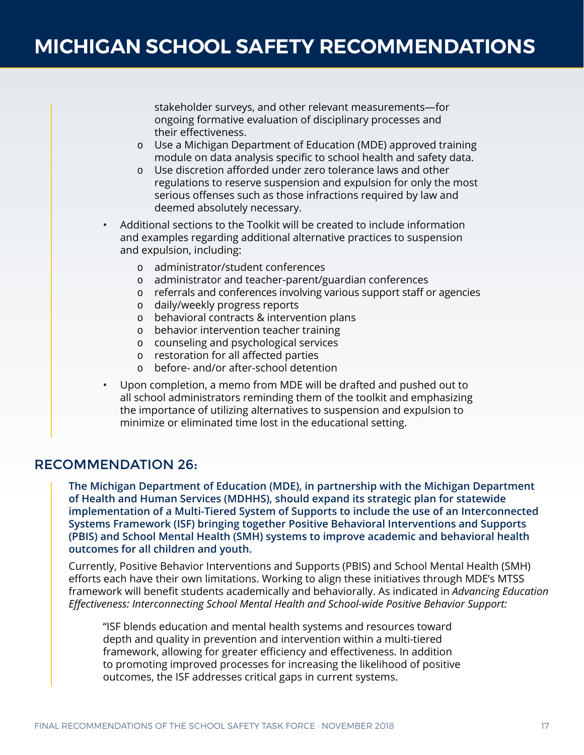stakeholder surveys, and other relevant measurements—for ongoing formative evaluation of disciplinary processes and their effectiveness.

- Use a Michigan Department of Education (MDE) approved training module on data analysis specific to school health and safety data.
- Use discretion afforded under zero tolerance laws and other regulations to reserve suspension and expulsion for only the most serious offenses such as those infractions required by law and deemed absolutely necessary.
- Additional sections to the Toolkit will be created to include information and examples regarding additional alternative practices to suspension and expulsion, including:
	- administrator/student conferences
	- administrator and teacher-parent/guardian conferences
	- referrals and conferences involving various support staff or agencies
	- daily/weekly progress reports
	- behavioral contracts & intervention plans
	- behavior intervention teacher training
	- counseling and psychological services
	- restoration for all affected parties
	- before- and/or after-school detention
- Upon completion, a memo from MDE will be drafted and pushed out to all school administrators reminding them of the toolkit and emphasizing the importance of utilizing alternatives to suspension and expulsion to minimize or eliminated time lost in the educational setting.

### RECOMMENDATION 26:

**The Michigan Department of Education (MDE), in partnership with the Michigan Department of Health and Human Services (MDHHS), should expand its strategic plan for statewide implementation of a Multi-Tiered System of Supports to include the use of an Interconnected Systems Framework (ISF) bringing together Positive Behavioral Interventions and Supports (PBIS) and School Mental Health (SMH) systems to improve academic and behavioral health outcomes for all children and youth.** 

Currently, Positive Behavior Interventions and Supports (PBIS) and School Mental Health (SMH) efforts each have their own limitations. Working to align these initiatives through MDE's MTSS framework will benefit students academically and behaviorally. As indicated in *Advancing Education Effectiveness: Interconnecting School Mental Health and School-wide Positive Behavior Support:*

"ISF blends education and mental health systems and resources toward depth and quality in prevention and intervention within a multi-tiered framework, allowing for greater efficiency and effectiveness. In addition to promoting improved processes for increasing the likelihood of positive outcomes, the ISF addresses critical gaps in current systems.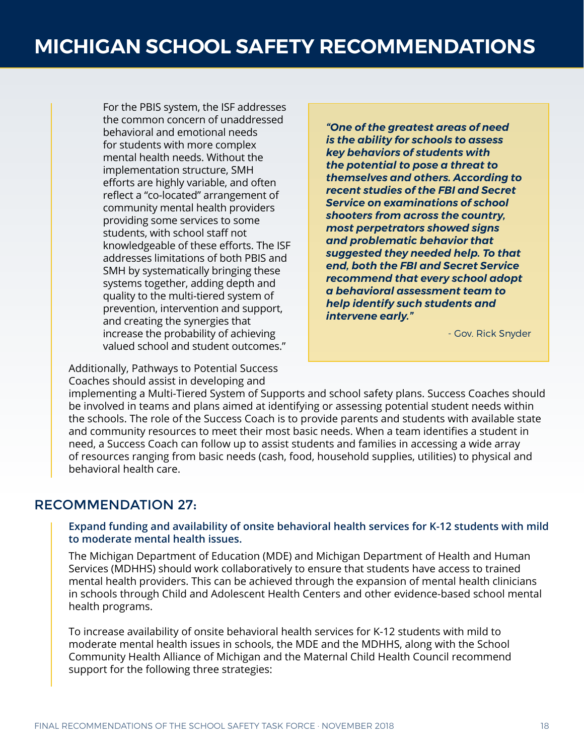For the PBIS system, the ISF addresses the common concern of unaddressed behavioral and emotional needs for students with more complex mental health needs. Without the implementation structure, SMH efforts are highly variable, and often reflect a "co-located" arrangement of community mental health providers providing some services to some students, with school staff not knowledgeable of these efforts. The ISF addresses limitations of both PBIS and SMH by systematically bringing these systems together, adding depth and quality to the multi-tiered system of prevention, intervention and support, and creating the synergies that increase the probability of achieving valued school and student outcomes."

Additionally, Pathways to Potential Success Coaches should assist in developing and

*"One of the greatest areas of need is the ability for schools to assess key behaviors of students with the potential to pose a threat to themselves and others. According to recent studies of the FBI and Secret Service on examinations of school shooters from across the country, most perpetrators showed signs and problematic behavior that suggested they needed help. To that end, both the FBI and Secret Service recommend that every school adopt a behavioral assessment team to help identify such students and intervene early."*

- Gov. Rick Snyder

implementing a Multi-Tiered System of Supports and school safety plans. Success Coaches should be involved in teams and plans aimed at identifying or assessing potential student needs within the schools. The role of the Success Coach is to provide parents and students with available state and community resources to meet their most basic needs. When a team identifies a student in need, a Success Coach can follow up to assist students and families in accessing a wide array of resources ranging from basic needs (cash, food, household supplies, utilities) to physical and behavioral health care.

# RECOMMENDATION 27:

#### **Expand funding and availability of onsite behavioral health services for K-12 students with mild to moderate mental health issues.**

The Michigan Department of Education (MDE) and Michigan Department of Health and Human Services (MDHHS) should work collaboratively to ensure that students have access to trained mental health providers. This can be achieved through the expansion of mental health clinicians in schools through Child and Adolescent Health Centers and other evidence-based school mental health programs.

To increase availability of onsite behavioral health services for K-12 students with mild to moderate mental health issues in schools, the MDE and the MDHHS, along with the School Community Health Alliance of Michigan and the Maternal Child Health Council recommend support for the following three strategies: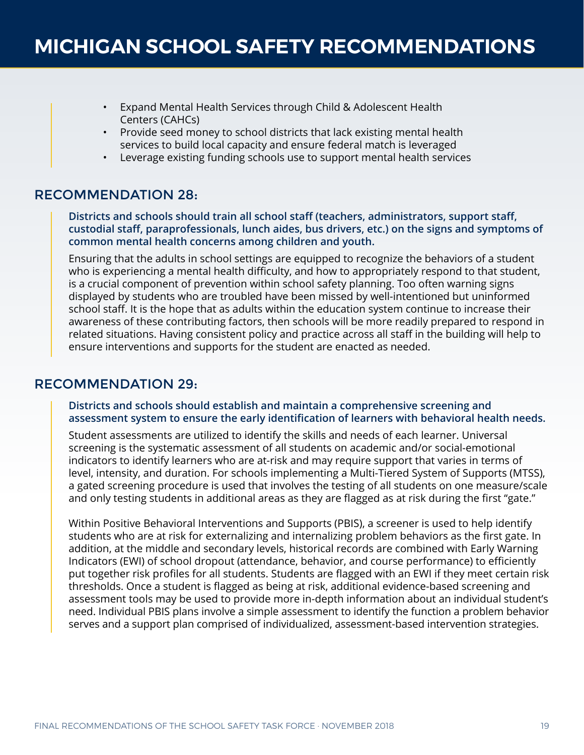- Expand Mental Health Services through Child & Adolescent Health Centers (CAHCs)
- Provide seed money to school districts that lack existing mental health services to build local capacity and ensure federal match is leveraged
- Leverage existing funding schools use to support mental health services

# RECOMMENDATION 28:

**Districts and schools should train all school staff (teachers, administrators, support staff, custodial staff, paraprofessionals, lunch aides, bus drivers, etc.) on the signs and symptoms of common mental health concerns among children and youth.** 

Ensuring that the adults in school settings are equipped to recognize the behaviors of a student who is experiencing a mental health difficulty, and how to appropriately respond to that student, is a crucial component of prevention within school safety planning. Too often warning signs displayed by students who are troubled have been missed by well-intentioned but uninformed school staff. It is the hope that as adults within the education system continue to increase their awareness of these contributing factors, then schools will be more readily prepared to respond in related situations. Having consistent policy and practice across all staff in the building will help to ensure interventions and supports for the student are enacted as needed.

### RECOMMENDATION 29:

#### **Districts and schools should establish and maintain a comprehensive screening and assessment system to ensure the early identification of learners with behavioral health needs.**

Student assessments are utilized to identify the skills and needs of each learner. Universal screening is the systematic assessment of all students on academic and/or social-emotional indicators to identify learners who are at-risk and may require support that varies in terms of level, intensity, and duration. For schools implementing a Multi-Tiered System of Supports (MTSS), a gated screening procedure is used that involves the testing of all students on one measure/scale and only testing students in additional areas as they are flagged as at risk during the first "gate."

Within Positive Behavioral Interventions and Supports (PBIS), a screener is used to help identify students who are at risk for externalizing and internalizing problem behaviors as the first gate. In addition, at the middle and secondary levels, historical records are combined with Early Warning Indicators (EWI) of school dropout (attendance, behavior, and course performance) to efficiently put together risk profiles for all students. Students are flagged with an EWI if they meet certain risk thresholds. Once a student is flagged as being at risk, additional evidence-based screening and assessment tools may be used to provide more in-depth information about an individual student's need. Individual PBIS plans involve a simple assessment to identify the function a problem behavior serves and a support plan comprised of individualized, assessment-based intervention strategies.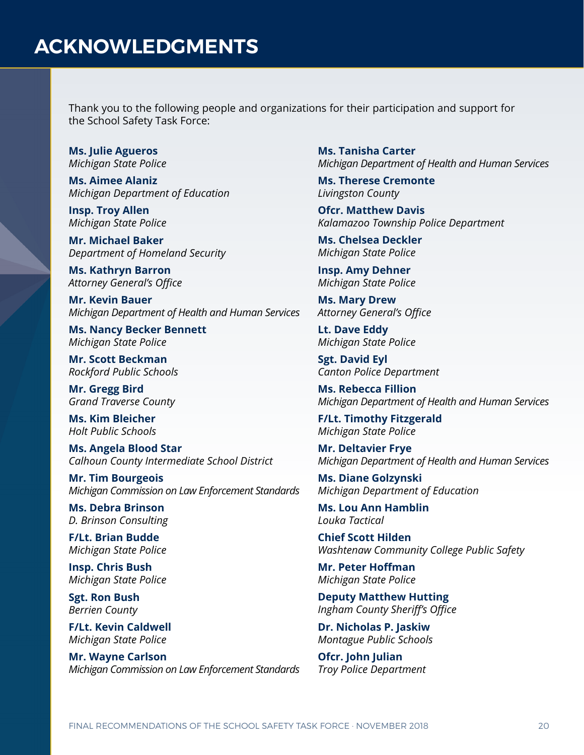Thank you to the following people and organizations for their participation and support for the School Safety Task Force:

**Ms. Julie Agueros** *Michigan State Police*

**Ms. Aimee Alaniz** *Michigan Department of Education*

**Insp. Troy Allen** *Michigan State Police*

**Mr. Michael Baker** *Department of Homeland Security*

**Ms. Kathryn Barron** *Attorney General's Office*

**Mr. Kevin Bauer** *Michigan Department of Health and Human Services*

**Ms. Nancy Becker Bennett** *Michigan State Police*

**Mr. Scott Beckman** *Rockford Public Schools*

**Mr. Gregg Bird** *Grand Traverse County*

**Ms. Kim Bleicher** *Holt Public Schools*

**Ms. Angela Blood Star** *Calhoun County Intermediate School District*

**Mr. Tim Bourgeois** *Michigan Commission on Law Enforcement Standards*

**Ms. Debra Brinson** *D. Brinson Consulting*

**F/Lt. Brian Budde** *Michigan State Police*

**Insp. Chris Bush** *Michigan State Police*

**Sgt. Ron Bush** *Berrien County*

**F/Lt. Kevin Caldwell** *Michigan State Police*

**Mr. Wayne Carlson** *Michigan Commission on Law Enforcement Standards* **Ms. Tanisha Carter** *Michigan Department of Health and Human Services*

**Ms. Therese Cremonte** *Livingston County*

**Ofcr. Matthew Davis** *Kalamazoo Township Police Department*

**Ms. Chelsea Deckler** *Michigan State Police*

**Insp. Amy Dehner** *Michigan State Police*

**Ms. Mary Drew** *Attorney General's Office*

**Lt. Dave Eddy** *Michigan State Police*

**Sgt. David Eyl** *Canton Police Department*

**Ms. Rebecca Fillion** *Michigan Department of Health and Human Services*

**F/Lt. Timothy Fitzgerald** *Michigan State Police*

**Mr. Deltavier Frye** *Michigan Department of Health and Human Services*

**Ms. Diane Golzynski** *Michigan Department of Education*

**Ms. Lou Ann Hamblin** *Louka Tactical*

**Chief Scott Hilden** *Washtenaw Community College Public Safety*

**Mr. Peter Hoffman** *Michigan State Police*

**Deputy Matthew Hutting** *Ingham County Sheriff's Office*

**Dr. Nicholas P. Jaskiw** *Montague Public Schools*

**Ofcr. John Julian** *Troy Police Department*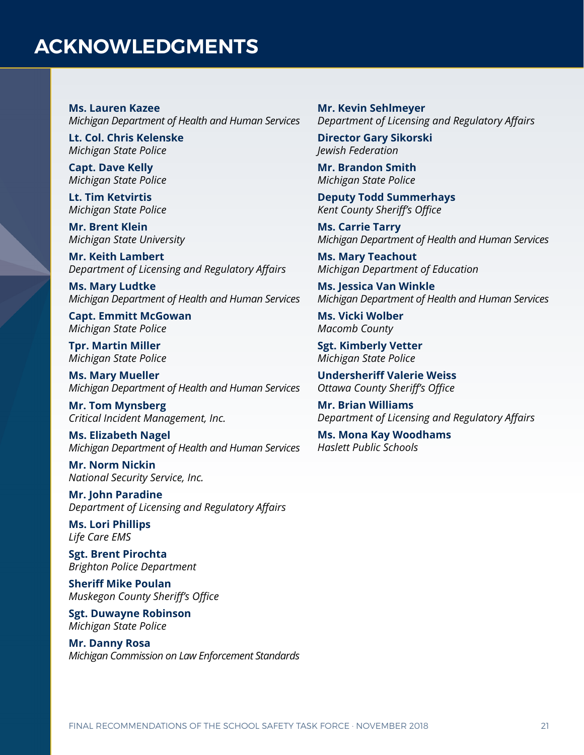# **ACKNOWLEDGMENTS**

**Ms. Lauren Kazee** *Michigan Department of Health and Human Services*

**Lt. Col. Chris Kelenske** *Michigan State Police*

**Capt. Dave Kelly** *Michigan State Police*

**Lt. Tim Ketvirtis** *Michigan State Police*

**Mr. Brent Klein** *Michigan State University*

**Mr. Keith Lambert** *Department of Licensing and Regulatory Affairs*

**Ms. Mary Ludtke** *Michigan Department of Health and Human Services*

**Capt. Emmitt McGowan** *Michigan State Police*

**Tpr. Martin Miller** *Michigan State Police*

**Ms. Mary Mueller** *Michigan Department of Health and Human Services*

**Mr. Tom Mynsberg** *Critical Incident Management, Inc.*

**Ms. Elizabeth Nagel** *Michigan Department of Health and Human Services*

**Mr. Norm Nickin** *National Security Service, Inc.*

**Mr. John Paradine** *Department of Licensing and Regulatory Affairs*

**Ms. Lori Phillips** *Life Care EMS*

**Sgt. Brent Pirochta** *Brighton Police Department*

**Sheriff Mike Poulan** *Muskegon County Sheriff's Office*

**Sgt. Duwayne Robinson** *Michigan State Police*

**Mr. Danny Rosa** *Michigan Commission on Law Enforcement Standards* **Mr. Kevin Sehlmeyer** *Department of Licensing and Regulatory Affairs*

**Director Gary Sikorski** *Jewish Federation*

**Mr. Brandon Smith** *Michigan State Police*

**Deputy Todd Summerhays** *Kent County Sheriff's Office*

**Ms. Carrie Tarry** *Michigan Department of Health and Human Services*

**Ms. Mary Teachout** *Michigan Department of Education*

**Ms. Jessica Van Winkle** *Michigan Department of Health and Human Services*

**Ms. Vicki Wolber** *Macomb County*

**Sgt. Kimberly Vetter** *Michigan State Police*

**Undersheriff Valerie Weiss** *Ottawa County Sheriff's Office*

**Mr. Brian Williams** *Department of Licensing and Regulatory Affairs*

**Ms. Mona Kay Woodhams** *Haslett Public Schools*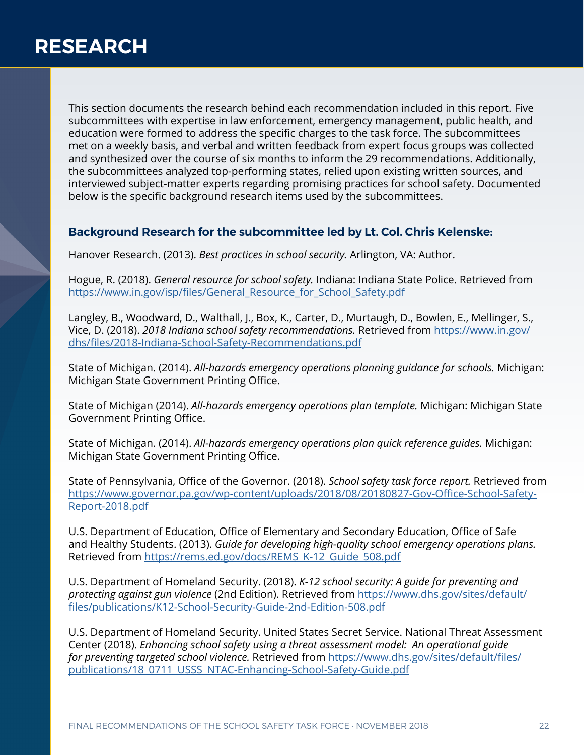This section documents the research behind each recommendation included in this report. Five subcommittees with expertise in law enforcement, emergency management, public health, and education were formed to address the specific charges to the task force. The subcommittees met on a weekly basis, and verbal and written feedback from expert focus groups was collected and synthesized over the course of six months to inform the 29 recommendations. Additionally, the subcommittees analyzed top-performing states, relied upon existing written sources, and interviewed subject-matter experts regarding promising practices for school safety. Documented below is the specific background research items used by the subcommittees.

### **Background Research for the subcommittee led by Lt. Col. Chris Kelenske:**

Hanover Research. (2013). *Best practices in school security.* Arlington, VA: Author.

Hogue, R. (2018). *General resource for school safety.* Indiana: Indiana State Police. Retrieved from [https://www.in.gov/isp/files/General\\_Resource\\_for\\_School\\_Safety.pdf](https://www.in.gov/isp/files/General_Resource_for_School_Safety.pdf)

Langley, B., Woodward, D., Walthall, J., Box, K., Carter, D., Murtaugh, D., Bowlen, E., Mellinger, S., Vice, D. (2018). *2018 Indiana school safety recommendations.* Retrieved from [https://www.in.gov/](https://www.in.gov/dhs/files/2018-Indiana-School-Safety-Recommendations.pdf) [dhs/files/2018-Indiana-School-Safety-Recommendations.pdf](https://www.in.gov/dhs/files/2018-Indiana-School-Safety-Recommendations.pdf)

State of Michigan. (2014). *All-hazards emergency operations planning guidance for schools.* Michigan: Michigan State Government Printing Office.

State of Michigan (2014). *All-hazards emergency operations plan template.* Michigan: Michigan State Government Printing Office.

State of Michigan. (2014). *All-hazards emergency operations plan quick reference guides.* Michigan: Michigan State Government Printing Office.

State of Pennsylvania, Office of the Governor. (2018). *School safety task force report.* Retrieved from [https://www.governor.pa.gov/wp-content/uploads/2018/08/20180827-Gov-Office-School-Safety-](https://www.governor.pa.gov/wp-content/uploads/2018/08/20180827-Gov-Office-School-Safety-Report-2018.pdf)[Report-2018.pdf](https://www.governor.pa.gov/wp-content/uploads/2018/08/20180827-Gov-Office-School-Safety-Report-2018.pdf)

U.S. Department of Education, Office of Elementary and Secondary Education, Office of Safe and Healthy Students. (2013). *Guide for developing high-quality school emergency operations plans.*  Retrieved from [https://rems.ed.gov/docs/REMS\\_K-12\\_Guide\\_508.pdf](https://rems.ed.gov/docs/REMS_K-12_Guide_508.pdf )

U.S. Department of Homeland Security. (2018). *K-12 school security: A guide for preventing and protecting against gun violence* (2nd Edition). Retrieved from [https://www.dhs.gov/sites/default/](https://www.dhs.gov/sites/default/files/publications/K12-School-Security-Guide-2nd-Edition-508.pdf) [files/publications/K12-School-Security-Guide-2nd-Edition-508.pdf](https://www.dhs.gov/sites/default/files/publications/K12-School-Security-Guide-2nd-Edition-508.pdf)

U.S. Department of Homeland Security. United States Secret Service. National Threat Assessment Center (2018). *Enhancing school safety using a threat assessment model: An operational guide for preventing targeted school violence.* Retrieved from [https://www.dhs.gov/sites/default/files/](https://www.dhs.gov/sites/default/files/publications/18_0711_USSS_NTAC-Enhancing-School-Safety-Guide.pdf) [publications/18\\_0711\\_USSS\\_NTAC-Enhancing-School-Safety-Guide.pdf](https://www.dhs.gov/sites/default/files/publications/18_0711_USSS_NTAC-Enhancing-School-Safety-Guide.pdf)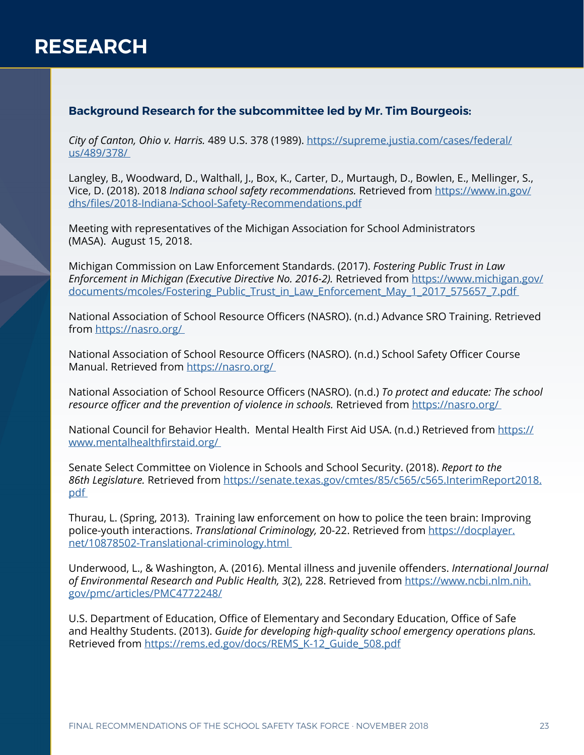## **Background Research for the subcommittee led by Mr. Tim Bourgeois:**

*City of Canton, Ohio v. Harris.* 489 U.S. 378 (1989). [https://supreme.justia.com/cases/federal/](https://supreme.justia.com/cases/federal/us/489/378/ ) [us/489/378/](https://supreme.justia.com/cases/federal/us/489/378/ ) 

Langley, B., Woodward, D., Walthall, J., Box, K., Carter, D., Murtaugh, D., Bowlen, E., Mellinger, S., Vice, D. (2018). 2018 *Indiana school safety recommendations.* Retrieved from [https://www.in.gov/](https://www.in.gov/dhs/files/2018-Indiana-School-Safety-Recommendations.pdf) [dhs/files/2018-Indiana-School-Safety-Recommendations.pdf](https://www.in.gov/dhs/files/2018-Indiana-School-Safety-Recommendations.pdf)

Meeting with representatives of the Michigan Association for School Administrators (MASA). August 15, 2018.

Michigan Commission on Law Enforcement Standards. (2017). *Fostering Public Trust in Law Enforcement in Michigan (Executive Directive No. 2016-2).* Retrieved from [https://www.michigan.gov/](https://www.michigan.gov/documents/mcoles/Fostering_Public_Trust_in_Law_Enforcement_May_1_2017_575657_7.pdf ) documents/mcoles/Fostering\_Public\_Trust\_in\_Law\_Enforcement\_May\_1\_2017\_575657\_7.pdf

National Association of School Resource Officers (NASRO). (n.d.) Advance SRO Training. Retrieved from [https://nasro.org/](https://nasro.org/ ) 

National Association of School Resource Officers (NASRO). (n.d.) School Safety Officer Course Manual. Retrieved from https://nasro.org/

National Association of School Resource Officers (NASRO). (n.d.) *To protect and educate: The school resource officer and the prevention of violence in schools.* Retrieved from [https://nasro.org/](https://nasro.org/ ) 

National Council for Behavior Health. Mental Health First Aid USA. (n.d.) Retrieved from [https://](https://www.mentalhealthfirstaid.org/ ) [www.mentalhealthfirstaid.org/](https://www.mentalhealthfirstaid.org/ ) 

Senate Select Committee on Violence in Schools and School Security. (2018). *Report to the 86th Legislature.* Retrieved from [https://senate.texas.gov/cmtes/85/c565/c565.InterimReport2018.](https://senate.texas.gov/cmtes/85/c565/c565.InterimReport2018.pdf  ) [pdf](https://senate.texas.gov/cmtes/85/c565/c565.InterimReport2018.pdf  ) 

Thurau, L. (Spring, 2013). Training law enforcement on how to police the teen brain: Improving police-youth interactions. *Translational Criminology,* 20-22. Retrieved from [https://docplayer.](https://docplayer.net/10878502-Translational-criminology.html ) [net/10878502-Translational-criminology.html](https://docplayer.net/10878502-Translational-criminology.html ) 

Underwood, L., & Washington, A. (2016). Mental illness and juvenile offenders. *International Journal of Environmental Research and Public Health, 3*(2), 228. Retrieved from [https://www.ncbi.nlm.nih.](https://www.ncbi.nlm.nih.gov/pmc/articles/PMC4772248/) [gov/pmc/articles/PMC4772248/](https://www.ncbi.nlm.nih.gov/pmc/articles/PMC4772248/)

U.S. Department of Education, Office of Elementary and Secondary Education, Office of Safe and Healthy Students. (2013). *Guide for developing high-quality school emergency operations plans.*  Retrieved from [https://rems.ed.gov/docs/REMS\\_K-12\\_Guide\\_508.pdf](https://rems.ed.gov/docs/REMS_K-12_Guide_508.pdf)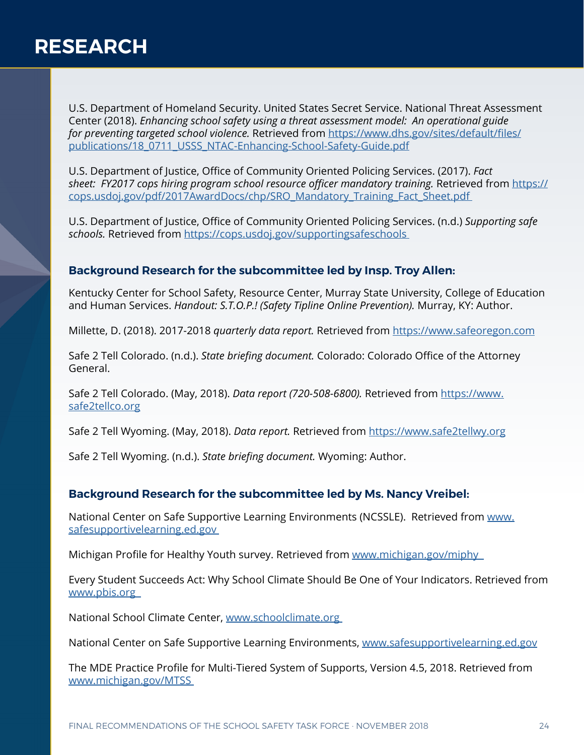U.S. Department of Homeland Security. United States Secret Service. National Threat Assessment Center (2018). *Enhancing school safety using a threat assessment model: An operational guide for preventing targeted school violence.* Retrieved from [https://www.dhs.gov/sites/default/files/](https://www.dhs.gov/sites/default/files/publications/18_0711_USSS_NTAC-Enhancing-School-Safety-Guide.pdf) [publications/18\\_0711\\_USSS\\_NTAC-Enhancing-School-Safety-Guide.pdf](https://www.dhs.gov/sites/default/files/publications/18_0711_USSS_NTAC-Enhancing-School-Safety-Guide.pdf)

U.S. Department of Justice, Office of Community Oriented Policing Services. (2017). *Fact sheet: FY2017 cops hiring program school resource officer mandatory training.* Retrieved from [https://](https://cops.usdoj.gov/pdf/2017AwardDocs/chp/SRO_Mandatory_Training_Fact_Sheet.pdf ) [cops.usdoj.gov/pdf/2017AwardDocs/chp/SRO\\_Mandatory\\_Training\\_Fact\\_Sheet.pdf](https://cops.usdoj.gov/pdf/2017AwardDocs/chp/SRO_Mandatory_Training_Fact_Sheet.pdf ) 

U.S. Department of Justice, Office of Community Oriented Policing Services. (n.d.) *Supporting safe schools.* Retrieved from [https://cops.usdoj.gov/supportingsafeschools](https://cops.usdoj.gov/supportingsafeschools ) 

### **Background Research for the subcommittee led by Insp. Troy Allen:**

Kentucky Center for School Safety, Resource Center, Murray State University, College of Education and Human Services. *Handout: S.T.O.P.! (Safety Tipline Online Prevention).* Murray, KY: Author.

[M](https://www.safeoregon.com  )illette, D. (2018). 2017-2018 *quarterly data report.* Retrieved from [https://www.safeoregon.com](https://www.safeoregon.com  )

Safe 2 Tell Colorado. (n.d.). *State briefing document.* Colorado: Colorado Office of the Attorney General.

Safe 2 Tell Colorado. (May, 2018). *Data report (720-508-6800).* Retrieved from [https://www.](https://www.safe2tellco.org) [safe2tellco.org](https://www.safe2tellco.org)

Safe 2 Tell Wyoming. (May, 2018). *Data report.* Retrieved from <https://www.safe2tellwy.org>

Safe 2 Tell Wyoming. (n.d.). *State briefing document.* Wyoming: Author.

### **Background Research for the subcommittee led by Ms. Nancy Vreibel:**

National Center on Safe Supportive Learning Environments (NCSSLE). Retrieved from [www.](http://www.safesupportivelearning.ed.gov ) [safesupportivelearning.ed.gov](http://www.safesupportivelearning.ed.gov ) 

Michigan Profile for Healthy Youth survey. Retrieved from www.michigan.gov/miphy

Every Student Succeeds Act: Why School Climate Should Be One of Your Indicators. Retrieved from [www.pbis.org](http://www.pbis.org  ) 

National School Climate Center, [www.schoolclimate.org](http://www.schoolclimate.org ) 

National Center on Safe Supportive Learning Environments, [www.safesupportivelearning.ed.gov](http://www.safesupportivelearning.ed.gov)

The MDE Practice Profile for Multi-Tiered System of Supports, Version 4.5, 2018. Retrieved from [www.michigan.gov/MTSS](http://www.michigan.gov/MTSS )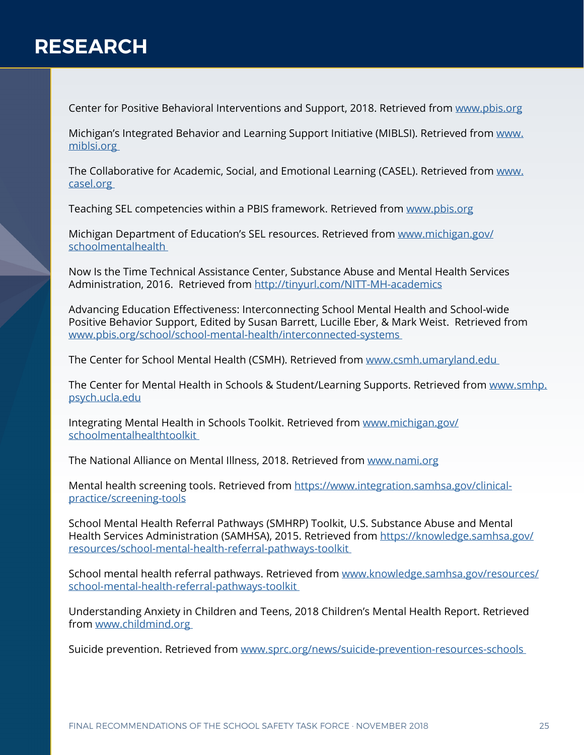Center for Positive Behavioral Interventions and Support, 2018. Retrieved from [www.pbis.org](http://www.pbis.org )

Michigan's Integrated Behavior and Learning Support Initiative (MIBLSI). Retrieved from [www.](http://www.miblsi.org ) [miblsi.org](http://www.miblsi.org ) 

The Collaborative for Academic, Social, and Emotional Learning (CASEL). Retrieved from [www.](http://www.casel.org ) [casel.org](http://www.casel.org ) 

Teaching SEL competencies within a PBIS framework. Retrieved from [www.pbis.org](http://www.pbis.org )

Michigan Department of Education's SEL resources. Retrieved from [www.michigan.gov/](http://www.michigan.gov/schoolmentalhealth  ) [schoolmentalhealth](http://www.michigan.gov/schoolmentalhealth  ) 

Now Is the Time Technical Assistance Center, Substance Abuse and Mental Health Services Administration, 2016. Retrieved from [http://tinyurl.com/NITT-MH-academics](http://tinyurl.com/NITT-MH-academics )

Advancing Education Effectiveness: Interconnecting School Mental Health and School-wide Positive Behavior Support, Edited by Susan Barrett, Lucille Eber, & Mark Weist. Retrieved from [www.pbis.org/school/school-mental-health/interconnected-systems](http://www.pbis.org/school/school-mental-health/interconnected-systems ) 

The Center for School Mental Health (CSMH). Retrieved from [www.csmh.umaryland.edu](http://www.csmh.umaryland.edu ) 

The Center for Mental Health in Schools & Student/Learning Supports. Retrieved from [www.smhp.](http://www.smhp.psych.ucla.edu) [psych.ucla.edu](http://www.smhp.psych.ucla.edu)

Integrating Mental Health in Schools Toolkit. Retrieved from [www.michigan.gov/](http://www.michigan.gov/schoolmentalhealthtoolkit ) [schoolmentalhealthtoolkit](http://www.michigan.gov/schoolmentalhealthtoolkit ) 

The National Alliance on Mental Illness, 2018. Retrieved from [www.nami.org](http://www.nami.org)

Mental health screening tools. Retrieved from [https://www.integration.samhsa.gov/clinical](https://www.integration.samhsa.gov/clinical-practice/screening-tools)[practice/screening-tools](https://www.integration.samhsa.gov/clinical-practice/screening-tools)

School Mental Health Referral Pathways (SMHRP) Toolkit, U.S. Substance Abuse and Mental Health Services Administration (SAMHSA), 2015. Retrieved from [https://knowledge.samhsa.gov/](https://knowledge.samhsa.gov/resources/school-mental-health-referral-pathways-toolkit ) [resources/school-mental-health-referral-pathways-toolkit](https://knowledge.samhsa.gov/resources/school-mental-health-referral-pathways-toolkit ) 

School mental health referral pathways. Retrieved from [www.knowledge.samhsa.gov/resources/](http://www.knowledge.samhsa.gov/resources/school-mental-health-referral-pathways-toolkit ) [school-mental-health-referral-pathways-toolkit](http://www.knowledge.samhsa.gov/resources/school-mental-health-referral-pathways-toolkit ) 

Understanding Anxiety in Children and Teens, 2018 Children's Mental Health Report. Retrieved from [www.childmind.org](http://www.childmind.org ) 

Suicide prevention. Retrieved from [www.sprc.org/news/suicide-prevention-resources-schools](http://www.sprc.org/news/suicide-prevention-resources-schools  )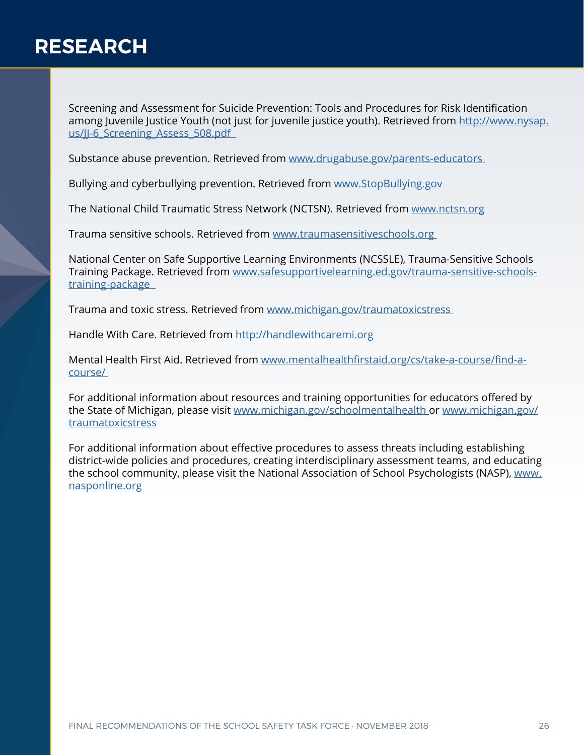Screening and Assessment for Suicide Prevention: Tools and Procedures for Risk Identification among Juvenile Justice Youth (not just for juvenile justice youth). Retrieved from [http://www.nysap.](http://www.nysap.us/JJ-6_Screening_Assess_508.pdf   ) us/JJ-6 Screening Assess 508.pdf

Substance abuse prevention. Retrieved from [www.drugabuse.gov/parents-educators](http://www.drugabuse.gov/parents-educators  ) 

Bullying and cyberbullying prevention. Retrieved from [www.StopBullying.gov](http://www.StopBullying.gov)

The National Child Traumatic Stress Network (NCTSN). Retrieved from [www.nctsn.org](http://www.nctsn.org)

Trauma sensitive schools. Retrieved from [www.traumasensitiveschools.org](http://www.traumasensitiveschools.org ) 

National Center on Safe Supportive Learning Environments (NCSSLE), Trauma-Sensitive Schools Training Package. Retrieved from [www.safesupportivelearning.ed.gov/trauma-sensitive-schools](http://www.safesupportivelearning.ed.gov/trauma-sensitive-schools-training-package   )[training-package](http://www.safesupportivelearning.ed.gov/trauma-sensitive-schools-training-package   ) 

Trauma and toxic stress. Retrieved from [www.michigan.gov/traumatoxicstress](http://www.michigan.gov/traumatoxicstress  ) 

Handle With Care. Retrieved from [http://handlewithcaremi.org](http://handlewithcaremi.org  ) 

Mental Health First Aid. Retrieved from [www.mentalhealthfirstaid.org/cs/take-a-course/find-a](http://www.mentalhealthfirstaid.org/cs/take-a-course/find-a-course/  )[course/](http://www.mentalhealthfirstaid.org/cs/take-a-course/find-a-course/  ) 

For additional information about resources and training opportunities for educators offered by the State of Michigan, please visit [www.michigan.gov/schoolmentalhealth](http://www.michigan.gov/schoolmentalhealth ) or [www.michigan.gov/](http://www.michigan.gov/traumatoxicstress) [traumatoxicstress](http://www.michigan.gov/traumatoxicstress)

For additional information about effective procedures to assess threats including establishing district-wide policies and procedures, creating interdisciplinary assessment teams, and educating the school community, please visit the National Association of School Psychologists (NASP), [www.](http://www.nasponline.org ) [nasponline.org](http://www.nasponline.org )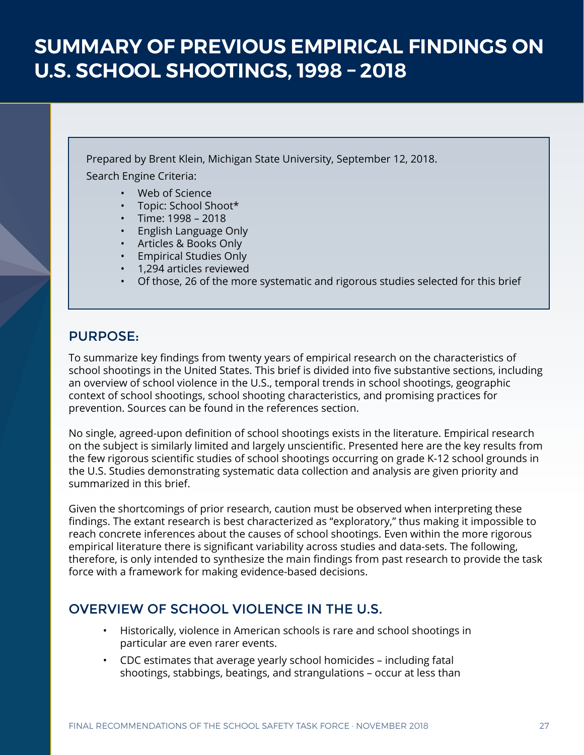Prepared by Brent Klein, Michigan State University, September 12, 2018.

Search Engine Criteria:

- Web of Science
- Topic: School Shoot\*
- Time: 1998 2018
- English Language Only
- Articles & Books Only
- Empirical Studies Only
- 1,294 articles reviewed
- Of those, 26 of the more systematic and rigorous studies selected for this brief

# PURPOSE:

To summarize key findings from twenty years of empirical research on the characteristics of school shootings in the United States. This brief is divided into five substantive sections, including an overview of school violence in the U.S., temporal trends in school shootings, geographic context of school shootings, school shooting characteristics, and promising practices for prevention. Sources can be found in the references section.

No single, agreed-upon definition of school shootings exists in the literature. Empirical research on the subject is similarly limited and largely unscientific. Presented here are the key results from the few rigorous scientific studies of school shootings occurring on grade K-12 school grounds in the U.S. Studies demonstrating systematic data collection and analysis are given priority and summarized in this brief.

Given the shortcomings of prior research, caution must be observed when interpreting these findings. The extant research is best characterized as "exploratory," thus making it impossible to reach concrete inferences about the causes of school shootings. Even within the more rigorous empirical literature there is significant variability across studies and data-sets. The following, therefore, is only intended to synthesize the main findings from past research to provide the task force with a framework for making evidence-based decisions.

# OVERVIEW OF SCHOOL VIOLENCE IN THE U.S.

- Historically, violence in American schools is rare and school shootings in particular are even rarer events.
- CDC estimates that average yearly school homicides including fatal shootings, stabbings, beatings, and strangulations – occur at less than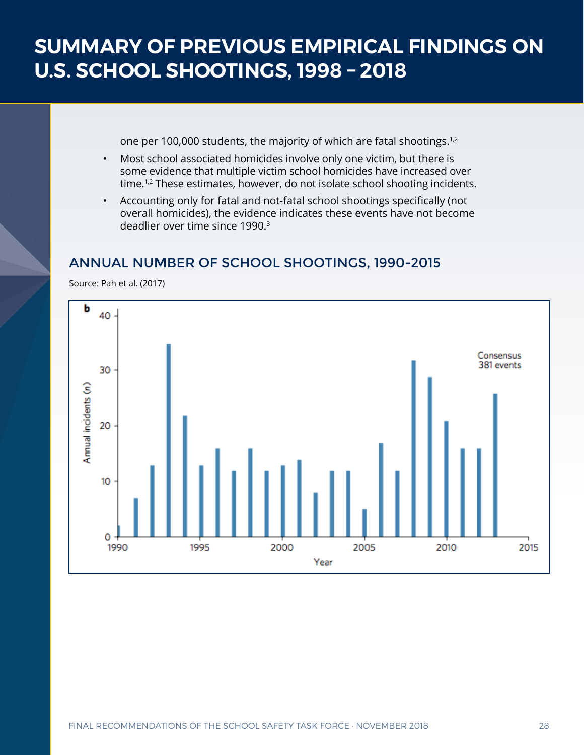one per 100,000 students, the majority of which are fatal shootings.<sup>1,2</sup>

- Most school associated homicides involve only one victim, but there is some evidence that multiple victim school homicides have increased over time.<sup>1,2</sup> These estimates, however, do not isolate school shooting incidents.
- Accounting only for fatal and not-fatal school shootings specifically (not overall homicides), the evidence indicates these events have not become deadlier over time since 1990.<sup>3</sup>

# ANNUAL NUMBER OF SCHOOL SHOOTINGS, 1990-2015

Source: Pah et al. (2017)

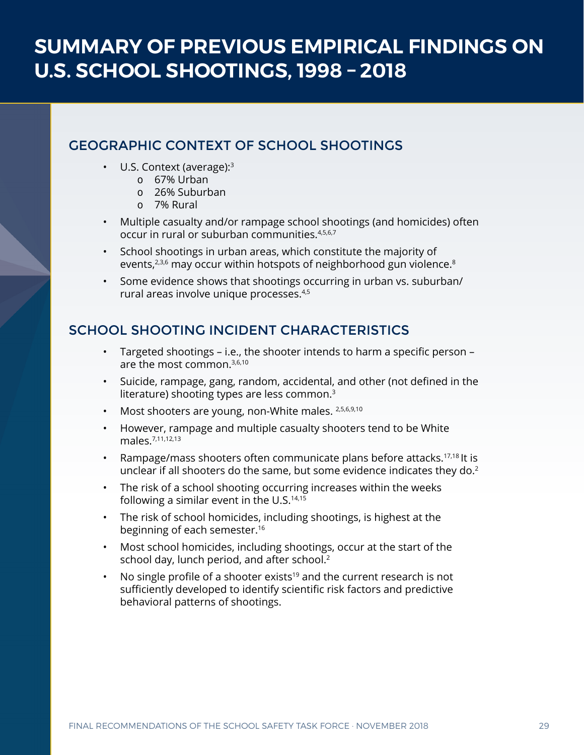# GEOGRAPHIC CONTEXT OF SCHOOL SHOOTINGS

- U.S. Context (average):<sup>3</sup>
	- 67% Urban
	- 26% Suburban
	- 7% Rural
- Multiple casualty and/or rampage school shootings (and homicides) often occur in rural or suburban communities.4,5,6,7
- School shootings in urban areas, which constitute the majority of events, $2,3,6$  may occur within hotspots of neighborhood gun violence.<sup>8</sup>
- Some evidence shows that shootings occurring in urban vs. suburban/ rural areas involve unique processes.4,5

# SCHOOL SHOOTING INCIDENT CHARACTERISTICS

- Targeted shootings i.e., the shooter intends to harm a specific person are the most common.3,6,10
- Suicide, rampage, gang, random, accidental, and other (not defined in the literature) shooting types are less common.<sup>3</sup>
- Most shooters are young, non-White males. 2,5,6,9,10
- However, rampage and multiple casualty shooters tend to be White males.7,11,12,13
- Rampage/mass shooters often communicate plans before attacks.17,18 It is unclear if all shooters do the same, but some evidence indicates they do.<sup>2</sup>
- The risk of a school shooting occurring increases within the weeks following a similar event in the U.S.<sup>14,15</sup>
- The risk of school homicides, including shootings, is highest at the beginning of each semester.<sup>16</sup>
- Most school homicides, including shootings, occur at the start of the school day, lunch period, and after school.<sup>2</sup>
- No single profile of a shooter exists<sup>19</sup> and the current research is not sufficiently developed to identify scientific risk factors and predictive behavioral patterns of shootings.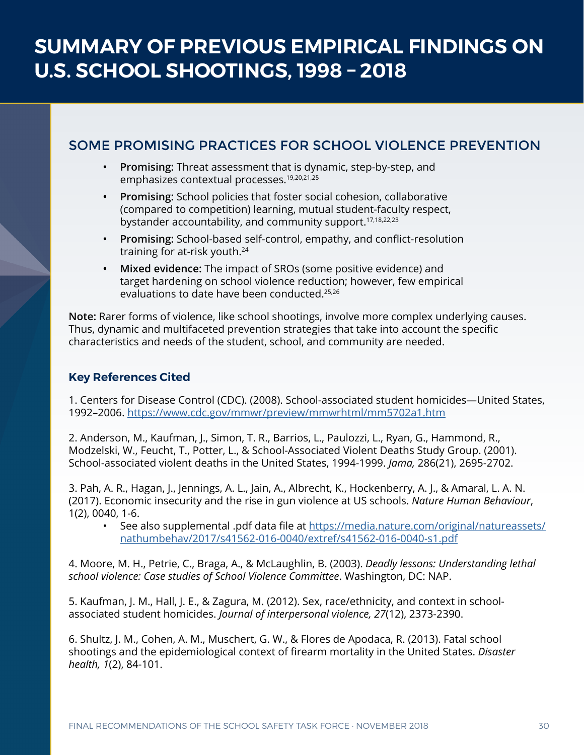# SOME PROMISING PRACTICES FOR SCHOOL VIOLENCE PREVENTION

- **• Promising:** Threat assessment that is dynamic, step-by-step, and emphasizes contextual processes.<sup>19,20,21,25</sup>
- **• Promising:** School policies that foster social cohesion, collaborative (compared to competition) learning, mutual student-faculty respect, bystander accountability, and community support.<sup>17,18,22,23</sup>
- **• Promising:** School-based self-control, empathy, and conflict-resolution training for at-risk youth.<sup>24</sup>
- **• Mixed evidence:** The impact of SROs (some positive evidence) and target hardening on school violence reduction; however, few empirical evaluations to date have been conducted.25,26

**Note:** Rarer forms of violence, like school shootings, involve more complex underlying causes. Thus, dynamic and multifaceted prevention strategies that take into account the specific characteristics and needs of the student, school, and community are needed.

## **Key References Cited**

1. Centers for Disease Control (CDC). (2008). School-associated student homicides—United States, 1992–2006. [https://www.cdc.gov/mmwr/preview/mmwrhtml/mm5702a1.htm](https://www.cdc.gov/mmwr/preview/mmwrhtml/mm5702a1.htm )

2. Anderson, M., Kaufman, J., Simon, T. R., Barrios, L., Paulozzi, L., Ryan, G., Hammond, R., Modzelski, W., Feucht, T., Potter, L., & School-Associated Violent Deaths Study Group. (2001). School-associated violent deaths in the United States, 1994-1999. *Jama,* 286(21), 2695-2702.

3. Pah, A. R., Hagan, J., Jennings, A. L., Jain, A., Albrecht, K., Hockenberry, A. J., & Amaral, L. A. N. (2017). Economic insecurity and the rise in gun violence at US schools. *Nature Human Behaviour*, 1(2), 0040, 1-6.

• See also supplemental .pdf data file at [https://media.nature.com/original/natureassets/](https://media.nature.com/original/natureassets/nathumbehav/2017/s41562-016-0040/extref/s41562-016-0040-s1.pdf) [nathumbehav/2017/s41562-016-0040/extref/s41562-016-0040-s1.pdf](https://media.nature.com/original/natureassets/nathumbehav/2017/s41562-016-0040/extref/s41562-016-0040-s1.pdf)

4. Moore, M. H., Petrie, C., Braga, A., & McLaughlin, B. (2003). *Deadly lessons: Understanding lethal school violence: Case studies of School Violence Committee*. Washington, DC: NAP.

5. Kaufman, J. M., Hall, J. E., & Zagura, M. (2012). Sex, race/ethnicity, and context in schoolassociated student homicides. *Journal of interpersonal violence, 27*(12), 2373-2390.

6. Shultz, J. M., Cohen, A. M., Muschert, G. W., & Flores de Apodaca, R. (2013). Fatal school shootings and the epidemiological context of firearm mortality in the United States. *Disaster health, 1*(2), 84-101.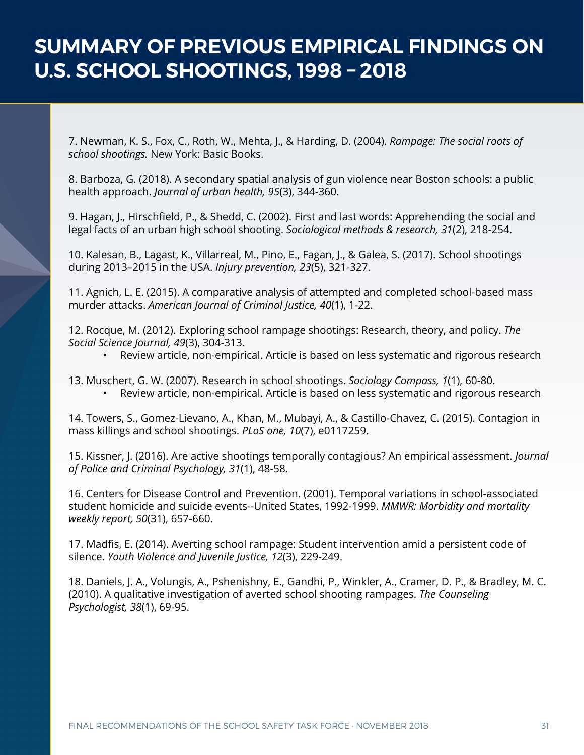7. Newman, K. S., Fox, C., Roth, W., Mehta, J., & Harding, D. (2004). *Rampage: The social roots of school shootings.* New York: Basic Books.

8. Barboza, G. (2018). A secondary spatial analysis of gun violence near Boston schools: a public health approach. *Journal of urban health, 95*(3), 344-360.

9. Hagan, J., Hirschfield, P., & Shedd, C. (2002). First and last words: Apprehending the social and legal facts of an urban high school shooting. *Sociological methods & research, 31*(2), 218-254.

10. Kalesan, B., Lagast, K., Villarreal, M., Pino, E., Fagan, J., & Galea, S. (2017). School shootings during 2013–2015 in the USA. *Injury prevention, 23*(5), 321-327.

11. Agnich, L. E. (2015). A comparative analysis of attempted and completed school-based mass murder attacks. *American Journal of Criminal Justice, 40*(1), 1-22.

12. Rocque, M. (2012). Exploring school rampage shootings: Research, theory, and policy. *The Social Science Journal, 49*(3), 304-313.

- Review article, non-empirical. Article is based on less systematic and rigorous research
- 13. Muschert, G. W. (2007). Research in school shootings. *Sociology Compass, 1*(1), 60-80. • Review article, non-empirical. Article is based on less systematic and rigorous research

14. Towers, S., Gomez-Lievano, A., Khan, M., Mubayi, A., & Castillo-Chavez, C. (2015). Contagion in mass killings and school shootings. *PLoS one, 10*(7), e0117259.

15. Kissner, J. (2016). Are active shootings temporally contagious? An empirical assessment. *Journal of Police and Criminal Psychology, 31*(1), 48-58.

16. Centers for Disease Control and Prevention. (2001). Temporal variations in school-associated student homicide and suicide events--United States, 1992-1999. *MMWR: Morbidity and mortality weekly report, 50*(31), 657-660.

17. Madfis, E. (2014). Averting school rampage: Student intervention amid a persistent code of silence. *Youth Violence and Juvenile Justice, 12*(3), 229-249.

18. Daniels, J. A., Volungis, A., Pshenishny, E., Gandhi, P., Winkler, A., Cramer, D. P., & Bradley, M. C. (2010). A qualitative investigation of averted school shooting rampages. *The Counseling Psychologist, 38*(1), 69-95.